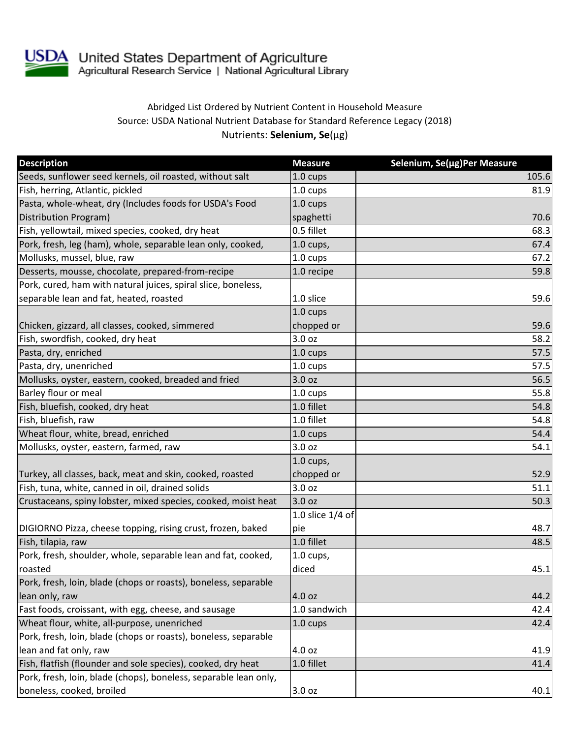

USDA United States Department of Agriculture<br>Agricultural Research Service | National Agricultural Library

## Abridged List Ordered by Nutrient Content in Household Measure Source: USDA National Nutrient Database for Standard Reference Legacy (2018) Nutrients: **Selenium, Se**(µg)

| <b>Description</b>                                               | <b>Measure</b>     | Selenium, Se(µg)Per Measure |
|------------------------------------------------------------------|--------------------|-----------------------------|
| Seeds, sunflower seed kernels, oil roasted, without salt         | 1.0 cups           | 105.6                       |
| Fish, herring, Atlantic, pickled                                 | 1.0 cups           | 81.9                        |
| Pasta, whole-wheat, dry (Includes foods for USDA's Food          | $1.0 \text{ cups}$ |                             |
| Distribution Program)                                            | spaghetti          | 70.6                        |
| Fish, yellowtail, mixed species, cooked, dry heat                | 0.5 fillet         | 68.3                        |
| Pork, fresh, leg (ham), whole, separable lean only, cooked,      | $1.0$ cups,        | 67.4                        |
| Mollusks, mussel, blue, raw                                      | 1.0 cups           | 67.2                        |
| Desserts, mousse, chocolate, prepared-from-recipe                | 1.0 recipe         | 59.8                        |
| Pork, cured, ham with natural juices, spiral slice, boneless,    |                    |                             |
| separable lean and fat, heated, roasted                          | 1.0 slice          | 59.6                        |
|                                                                  | 1.0 cups           |                             |
| Chicken, gizzard, all classes, cooked, simmered                  | chopped or         | 59.6                        |
| Fish, swordfish, cooked, dry heat                                | 3.0 oz             | 58.2                        |
| Pasta, dry, enriched                                             | $1.0 \text{ cups}$ | 57.5                        |
| Pasta, dry, unenriched                                           | 1.0 cups           | 57.5                        |
| Mollusks, oyster, eastern, cooked, breaded and fried             | 3.0 oz             | 56.5                        |
| Barley flour or meal                                             | 1.0 cups           | 55.8                        |
| Fish, bluefish, cooked, dry heat                                 | 1.0 fillet         | 54.8                        |
| Fish, bluefish, raw                                              | 1.0 fillet         | 54.8                        |
| Wheat flour, white, bread, enriched                              | 1.0 cups           | 54.4                        |
| Mollusks, oyster, eastern, farmed, raw                           | 3.0 oz             | 54.1                        |
|                                                                  | $1.0$ cups,        |                             |
| Turkey, all classes, back, meat and skin, cooked, roasted        | chopped or         | 52.9                        |
| Fish, tuna, white, canned in oil, drained solids                 | 3.0 oz             | 51.1                        |
| Crustaceans, spiny lobster, mixed species, cooked, moist heat    | 3.0 oz             | 50.3                        |
|                                                                  | 1.0 slice 1/4 of   |                             |
| DIGIORNO Pizza, cheese topping, rising crust, frozen, baked      | pie                | 48.7                        |
| Fish, tilapia, raw                                               | 1.0 fillet         | 48.5                        |
| Pork, fresh, shoulder, whole, separable lean and fat, cooked,    | 1.0 cups,          |                             |
| roasted                                                          | diced              | 45.1                        |
| Pork, fresh, loin, blade (chops or roasts), boneless, separable  |                    |                             |
| lean only, raw                                                   | 4.0 oz             | 44.2                        |
| Fast foods, croissant, with egg, cheese, and sausage             | 1.0 sandwich       | 42.4                        |
| Wheat flour, white, all-purpose, unenriched                      | $1.0 \text{ cups}$ | 42.4                        |
| Pork, fresh, loin, blade (chops or roasts), boneless, separable  |                    |                             |
| lean and fat only, raw                                           | 4.0 oz             | 41.9                        |
| Fish, flatfish (flounder and sole species), cooked, dry heat     | 1.0 fillet         | 41.4                        |
| Pork, fresh, loin, blade (chops), boneless, separable lean only, |                    |                             |
| boneless, cooked, broiled                                        | 3.0 oz             | 40.1                        |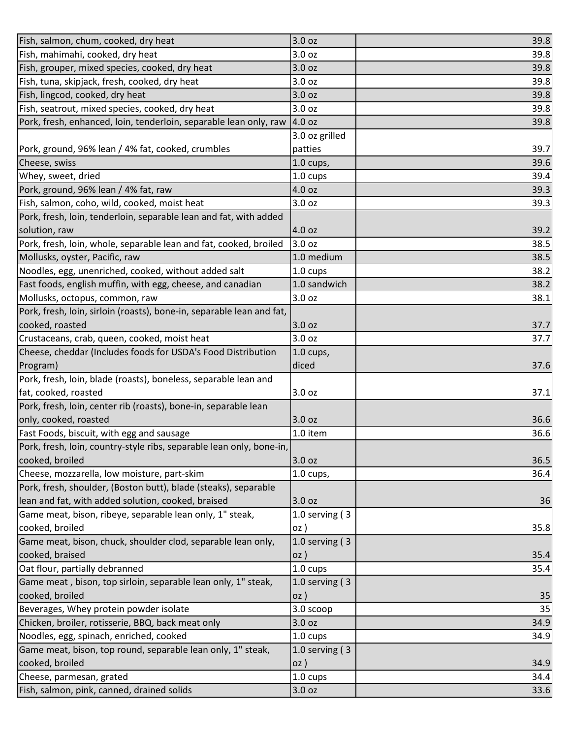| Fish, salmon, chum, cooked, dry heat                                  | 3.0 oz            | 39.8 |
|-----------------------------------------------------------------------|-------------------|------|
| Fish, mahimahi, cooked, dry heat                                      | 3.0 oz            | 39.8 |
| Fish, grouper, mixed species, cooked, dry heat                        | 3.0 oz            | 39.8 |
| Fish, tuna, skipjack, fresh, cooked, dry heat                         | 3.0 oz            | 39.8 |
| Fish, lingcod, cooked, dry heat                                       | 3.0 oz            | 39.8 |
| Fish, seatrout, mixed species, cooked, dry heat                       | 3.0 oz            | 39.8 |
| Pork, fresh, enhanced, loin, tenderloin, separable lean only, raw     | 4.0 oz            | 39.8 |
|                                                                       | 3.0 oz grilled    |      |
| Pork, ground, 96% lean / 4% fat, cooked, crumbles                     | patties           | 39.7 |
| Cheese, swiss                                                         | $1.0$ cups,       | 39.6 |
| Whey, sweet, dried                                                    | 1.0 cups          | 39.4 |
| Pork, ground, 96% lean / 4% fat, raw                                  | 4.0 oz            | 39.3 |
| Fish, salmon, coho, wild, cooked, moist heat                          | 3.0 oz            | 39.3 |
| Pork, fresh, loin, tenderloin, separable lean and fat, with added     |                   |      |
| solution, raw                                                         | 4.0 oz            | 39.2 |
| Pork, fresh, loin, whole, separable lean and fat, cooked, broiled     | 3.0 oz            | 38.5 |
| Mollusks, oyster, Pacific, raw                                        | 1.0 medium        | 38.5 |
| Noodles, egg, unenriched, cooked, without added salt                  | 1.0 cups          | 38.2 |
| Fast foods, english muffin, with egg, cheese, and canadian            | 1.0 sandwich      | 38.2 |
| Mollusks, octopus, common, raw                                        | 3.0 oz            | 38.1 |
| Pork, fresh, loin, sirloin (roasts), bone-in, separable lean and fat, |                   |      |
| cooked, roasted                                                       | 3.0 oz            | 37.7 |
| Crustaceans, crab, queen, cooked, moist heat                          | 3.0 oz            | 37.7 |
| Cheese, cheddar (Includes foods for USDA's Food Distribution          | $1.0$ cups,       |      |
| Program)                                                              | diced             | 37.6 |
| Pork, fresh, loin, blade (roasts), boneless, separable lean and       |                   |      |
| fat, cooked, roasted                                                  | 3.0 oz            | 37.1 |
| Pork, fresh, loin, center rib (roasts), bone-in, separable lean       |                   |      |
| only, cooked, roasted                                                 | 3.0 oz            | 36.6 |
| Fast Foods, biscuit, with egg and sausage                             | 1.0 item          | 36.6 |
| Pork, fresh, loin, country-style ribs, separable lean only, bone-in,  |                   |      |
| cooked, broiled                                                       | 3.0 oz            | 36.5 |
| Cheese, mozzarella, low moisture, part-skim                           | $1.0$ cups,       | 36.4 |
| Pork, fresh, shoulder, (Boston butt), blade (steaks), separable       |                   |      |
| lean and fat, with added solution, cooked, braised                    | 3.0 oz            | 36   |
| Game meat, bison, ribeye, separable lean only, 1" steak,              | 1.0 serving $(3)$ |      |
| cooked, broiled                                                       | oz)               | 35.8 |
| Game meat, bison, chuck, shoulder clod, separable lean only,          | 1.0 serving $(3)$ |      |
| cooked, braised                                                       | $OZ$ )            | 35.4 |
| Oat flour, partially debranned                                        | 1.0 cups          | 35.4 |
| Game meat, bison, top sirloin, separable lean only, 1" steak,         | 1.0 serving $(3)$ |      |
| cooked, broiled                                                       | oz)               | 35   |
| Beverages, Whey protein powder isolate                                | 3.0 scoop         | 35   |
| Chicken, broiler, rotisserie, BBQ, back meat only                     | 3.0 oz            | 34.9 |
| Noodles, egg, spinach, enriched, cooked                               | 1.0 cups          | 34.9 |
| Game meat, bison, top round, separable lean only, 1" steak,           | 1.0 serving $(3)$ |      |
| cooked, broiled                                                       | oz)               | 34.9 |
| Cheese, parmesan, grated                                              | 1.0 cups          | 34.4 |
| Fish, salmon, pink, canned, drained solids                            | 3.0 oz            | 33.6 |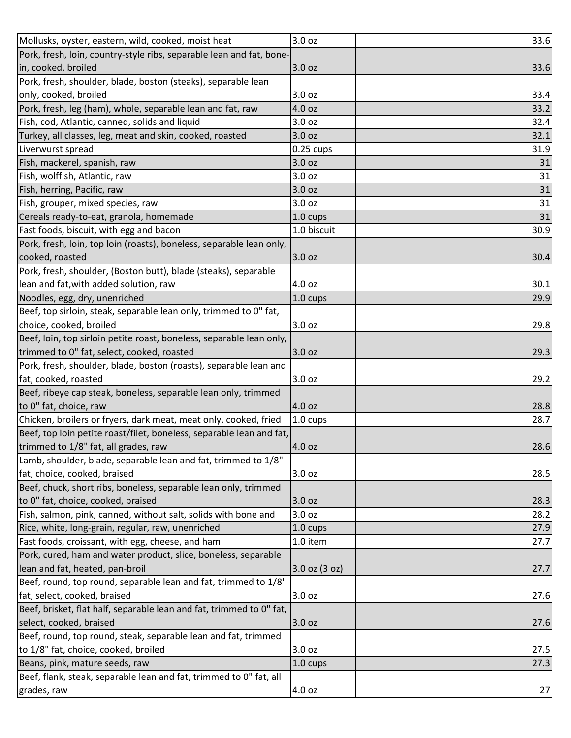| Mollusks, oyster, eastern, wild, cooked, moist heat                  | 3.0 oz            | 33.6 |
|----------------------------------------------------------------------|-------------------|------|
| Pork, fresh, loin, country-style ribs, separable lean and fat, bone- |                   |      |
| in, cooked, broiled                                                  | 3.0 oz            | 33.6 |
| Pork, fresh, shoulder, blade, boston (steaks), separable lean        |                   |      |
| only, cooked, broiled                                                | 3.0 oz            | 33.4 |
| Pork, fresh, leg (ham), whole, separable lean and fat, raw           | 4.0 oz            | 33.2 |
| Fish, cod, Atlantic, canned, solids and liquid                       | 3.0 oz            | 32.4 |
| Turkey, all classes, leg, meat and skin, cooked, roasted             | 3.0 oz            | 32.1 |
| Liverwurst spread                                                    | $0.25$ cups       | 31.9 |
| Fish, mackerel, spanish, raw                                         | 3.0 oz            | 31   |
| Fish, wolffish, Atlantic, raw                                        | 3.0 oz            | 31   |
| Fish, herring, Pacific, raw                                          | 3.0 oz            | 31   |
| Fish, grouper, mixed species, raw                                    | 3.0 oz            | 31   |
| Cereals ready-to-eat, granola, homemade                              | 1.0 cups          | 31   |
| Fast foods, biscuit, with egg and bacon                              | 1.0 biscuit       | 30.9 |
| Pork, fresh, loin, top loin (roasts), boneless, separable lean only, |                   |      |
| cooked, roasted                                                      | 3.0 oz            | 30.4 |
| Pork, fresh, shoulder, (Boston butt), blade (steaks), separable      |                   |      |
| lean and fat, with added solution, raw                               | 4.0 oz            | 30.1 |
| Noodles, egg, dry, unenriched                                        | 1.0 cups          | 29.9 |
| Beef, top sirloin, steak, separable lean only, trimmed to 0" fat,    |                   |      |
| choice, cooked, broiled                                              | 3.0 oz            | 29.8 |
| Beef, loin, top sirloin petite roast, boneless, separable lean only, |                   |      |
| trimmed to 0" fat, select, cooked, roasted                           | 3.0 oz            | 29.3 |
| Pork, fresh, shoulder, blade, boston (roasts), separable lean and    |                   |      |
| fat, cooked, roasted                                                 | 3.0 oz            | 29.2 |
| Beef, ribeye cap steak, boneless, separable lean only, trimmed       |                   |      |
| to 0" fat, choice, raw                                               | 4.0 oz            | 28.8 |
| Chicken, broilers or fryers, dark meat, meat only, cooked, fried     | 1.0 cups          | 28.7 |
| Beef, top loin petite roast/filet, boneless, separable lean and fat, |                   |      |
| trimmed to 1/8" fat, all grades, raw                                 | 4.0 oz            | 28.6 |
| Lamb, shoulder, blade, separable lean and fat, trimmed to 1/8"       |                   |      |
| fat, choice, cooked, braised                                         | 3.0 oz            | 28.5 |
| Beef, chuck, short ribs, boneless, separable lean only, trimmed      |                   |      |
| to 0" fat, choice, cooked, braised                                   | 3.0 oz            | 28.3 |
| Fish, salmon, pink, canned, without salt, solids with bone and       | 3.0 oz            | 28.2 |
| Rice, white, long-grain, regular, raw, unenriched                    | 1.0 cups          | 27.9 |
| Fast foods, croissant, with egg, cheese, and ham                     | 1.0 item          | 27.7 |
| Pork, cured, ham and water product, slice, boneless, separable       |                   |      |
| lean and fat, heated, pan-broil                                      | $3.0$ oz $(3$ oz) | 27.7 |
| Beef, round, top round, separable lean and fat, trimmed to 1/8"      |                   |      |
| fat, select, cooked, braised                                         | 3.0 oz            | 27.6 |
| Beef, brisket, flat half, separable lean and fat, trimmed to 0" fat, |                   |      |
| select, cooked, braised                                              | 3.0 oz            | 27.6 |
| Beef, round, top round, steak, separable lean and fat, trimmed       |                   |      |
| to 1/8" fat, choice, cooked, broiled                                 | 3.0 oz            | 27.5 |
| Beans, pink, mature seeds, raw                                       | 1.0 cups          | 27.3 |
| Beef, flank, steak, separable lean and fat, trimmed to 0" fat, all   |                   |      |
| grades, raw                                                          | 4.0 oz            | 27   |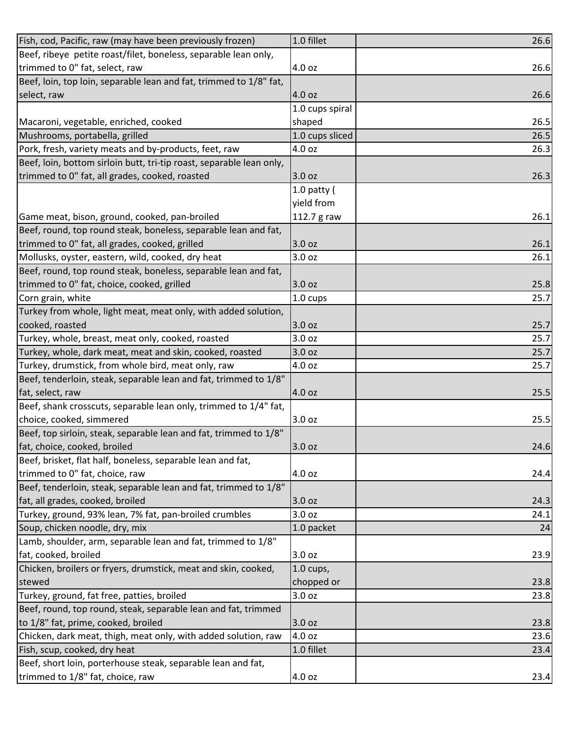| Fish, cod, Pacific, raw (may have been previously frozen)            | 1.0 fillet      | 26.6 |
|----------------------------------------------------------------------|-----------------|------|
| Beef, ribeye petite roast/filet, boneless, separable lean only,      |                 |      |
| trimmed to 0" fat, select, raw                                       | 4.0 oz          | 26.6 |
| Beef, loin, top loin, separable lean and fat, trimmed to 1/8" fat,   |                 |      |
| select, raw                                                          | 4.0 oz          | 26.6 |
|                                                                      | 1.0 cups spiral |      |
| Macaroni, vegetable, enriched, cooked                                | shaped          | 26.5 |
| Mushrooms, portabella, grilled                                       | 1.0 cups sliced | 26.5 |
| Pork, fresh, variety meats and by-products, feet, raw                | 4.0 oz          | 26.3 |
| Beef, loin, bottom sirloin butt, tri-tip roast, separable lean only, |                 |      |
| trimmed to 0" fat, all grades, cooked, roasted                       | 3.0 oz          | 26.3 |
|                                                                      | 1.0 patty $($   |      |
|                                                                      | yield from      |      |
| Game meat, bison, ground, cooked, pan-broiled                        | 112.7 g raw     | 26.1 |
| Beef, round, top round steak, boneless, separable lean and fat,      |                 |      |
| trimmed to 0" fat, all grades, cooked, grilled                       | 3.0 oz          | 26.1 |
| Mollusks, oyster, eastern, wild, cooked, dry heat                    | 3.0 oz          | 26.1 |
| Beef, round, top round steak, boneless, separable lean and fat,      |                 |      |
| trimmed to 0" fat, choice, cooked, grilled                           | 3.0 oz          | 25.8 |
| Corn grain, white                                                    | 1.0 cups        | 25.7 |
| Turkey from whole, light meat, meat only, with added solution,       |                 |      |
| cooked, roasted                                                      | 3.0 oz          | 25.7 |
| Turkey, whole, breast, meat only, cooked, roasted                    | 3.0 oz          | 25.7 |
| Turkey, whole, dark meat, meat and skin, cooked, roasted             | 3.0 oz          | 25.7 |
| Turkey, drumstick, from whole bird, meat only, raw                   | 4.0 oz          | 25.7 |
| Beef, tenderloin, steak, separable lean and fat, trimmed to 1/8"     |                 |      |
| fat, select, raw                                                     | 4.0 oz          | 25.5 |
| Beef, shank crosscuts, separable lean only, trimmed to 1/4" fat,     |                 |      |
| choice, cooked, simmered                                             | 3.0 oz          | 25.5 |
| Beef, top sirloin, steak, separable lean and fat, trimmed to 1/8"    |                 |      |
| fat, choice, cooked, broiled                                         | 3.0 oz          | 24.6 |
| Beef, brisket, flat half, boneless, separable lean and fat,          |                 |      |
| trimmed to 0" fat, choice, raw                                       | 4.0 oz          | 24.4 |
| Beef, tenderloin, steak, separable lean and fat, trimmed to 1/8"     |                 |      |
| fat, all grades, cooked, broiled                                     | 3.0 oz          | 24.3 |
| Turkey, ground, 93% lean, 7% fat, pan-broiled crumbles               | 3.0 oz          | 24.1 |
| Soup, chicken noodle, dry, mix                                       | 1.0 packet      | 24   |
| Lamb, shoulder, arm, separable lean and fat, trimmed to 1/8"         |                 |      |
| fat, cooked, broiled                                                 | 3.0 oz          | 23.9 |
| Chicken, broilers or fryers, drumstick, meat and skin, cooked,       | $1.0$ cups,     |      |
| stewed                                                               | chopped or      | 23.8 |
| Turkey, ground, fat free, patties, broiled                           | 3.0 oz          | 23.8 |
| Beef, round, top round, steak, separable lean and fat, trimmed       |                 |      |
| to 1/8" fat, prime, cooked, broiled                                  | 3.0 oz          | 23.8 |
| Chicken, dark meat, thigh, meat only, with added solution, raw       | 4.0 oz          | 23.6 |
| Fish, scup, cooked, dry heat                                         | 1.0 fillet      | 23.4 |
| Beef, short loin, porterhouse steak, separable lean and fat,         |                 |      |
| trimmed to 1/8" fat, choice, raw                                     | 4.0 oz          | 23.4 |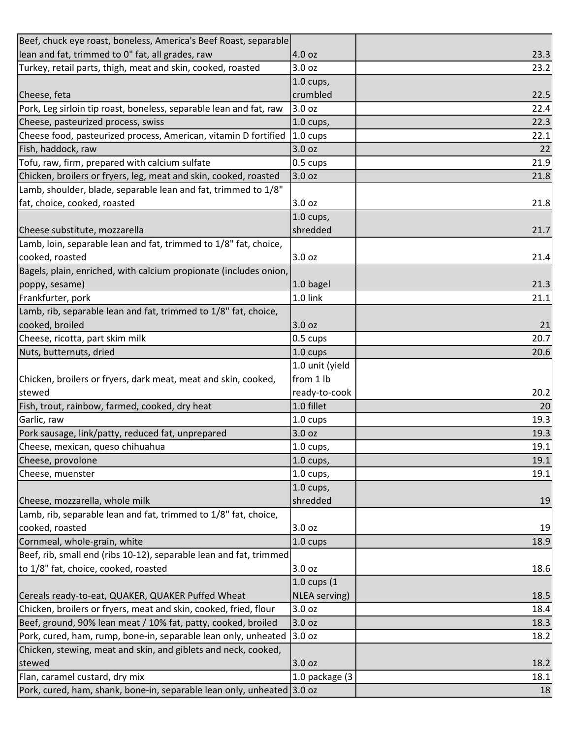| Beef, chuck eye roast, boneless, America's Beef Roast, separable       |                    |      |
|------------------------------------------------------------------------|--------------------|------|
| lean and fat, trimmed to 0" fat, all grades, raw                       | 4.0 oz             | 23.3 |
| Turkey, retail parts, thigh, meat and skin, cooked, roasted            | 3.0 <sub>oz</sub>  | 23.2 |
|                                                                        | $1.0$ cups,        |      |
| Cheese, feta                                                           | crumbled           | 22.5 |
| Pork, Leg sirloin tip roast, boneless, separable lean and fat, raw     | 3.0 oz             | 22.4 |
| Cheese, pasteurized process, swiss                                     | 1.0 cups,          | 22.3 |
| Cheese food, pasteurized process, American, vitamin D fortified        | 1.0 cups           | 22.1 |
| Fish, haddock, raw                                                     | 3.0 oz             | 22   |
| Tofu, raw, firm, prepared with calcium sulfate                         | 0.5 cups           | 21.9 |
| Chicken, broilers or fryers, leg, meat and skin, cooked, roasted       | 3.0 oz             | 21.8 |
| Lamb, shoulder, blade, separable lean and fat, trimmed to 1/8"         |                    |      |
| fat, choice, cooked, roasted                                           | 3.0 oz             | 21.8 |
|                                                                        | $1.0$ cups,        |      |
| Cheese substitute, mozzarella                                          | shredded           | 21.7 |
| Lamb, loin, separable lean and fat, trimmed to 1/8" fat, choice,       |                    |      |
| cooked, roasted                                                        | 3.0 oz             | 21.4 |
| Bagels, plain, enriched, with calcium propionate (includes onion,      |                    |      |
| poppy, sesame)                                                         | 1.0 bagel          | 21.3 |
| Frankfurter, pork                                                      | 1.0 link           | 21.1 |
| Lamb, rib, separable lean and fat, trimmed to 1/8" fat, choice,        |                    |      |
| cooked, broiled                                                        | 3.0 oz             | 21   |
| Cheese, ricotta, part skim milk                                        | 0.5 cups           | 20.7 |
| Nuts, butternuts, dried                                                | 1.0 cups           | 20.6 |
|                                                                        | 1.0 unit (yield    |      |
| Chicken, broilers or fryers, dark meat, meat and skin, cooked,         | from 1 lb          |      |
| stewed                                                                 | ready-to-cook      | 20.2 |
| Fish, trout, rainbow, farmed, cooked, dry heat                         | 1.0 fillet         | 20   |
| Garlic, raw                                                            | 1.0 cups           | 19.3 |
| Pork sausage, link/patty, reduced fat, unprepared                      | 3.0 oz             | 19.3 |
| Cheese, mexican, queso chihuahua                                       | 1.0 cups,          | 19.1 |
| Cheese, provolone                                                      | $1.0$ cups,        | 19.1 |
| Cheese, muenster                                                       | $1.0$ cups,        | 19.1 |
|                                                                        | $1.0$ cups,        |      |
| Cheese, mozzarella, whole milk                                         | shredded           | 19   |
| Lamb, rib, separable lean and fat, trimmed to 1/8" fat, choice,        |                    |      |
| cooked, roasted                                                        | 3.0 oz             | 19   |
| Cornmeal, whole-grain, white                                           | $1.0 \text{ cups}$ | 18.9 |
| Beef, rib, small end (ribs 10-12), separable lean and fat, trimmed     |                    |      |
| to 1/8" fat, choice, cooked, roasted                                   | 3.0 oz             | 18.6 |
|                                                                        | 1.0 cups (1        |      |
| Cereals ready-to-eat, QUAKER, QUAKER Puffed Wheat                      | NLEA serving)      | 18.5 |
| Chicken, broilers or fryers, meat and skin, cooked, fried, flour       | 3.0 oz             | 18.4 |
| Beef, ground, 90% lean meat / 10% fat, patty, cooked, broiled          | 3.0 oz             | 18.3 |
| Pork, cured, ham, rump, bone-in, separable lean only, unheated         | 3.0 oz             | 18.2 |
| Chicken, stewing, meat and skin, and giblets and neck, cooked,         |                    |      |
| stewed                                                                 | 3.0 oz             | 18.2 |
| Flan, caramel custard, dry mix                                         | 1.0 package (3     | 18.1 |
| Pork, cured, ham, shank, bone-in, separable lean only, unheated 3.0 oz |                    | 18   |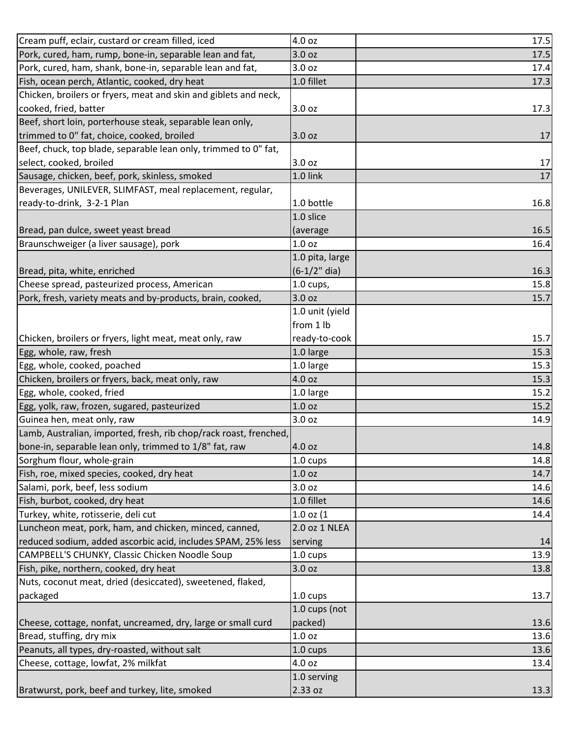| Cream puff, eclair, custard or cream filled, iced                 | 4.0 oz            | 17.5 |
|-------------------------------------------------------------------|-------------------|------|
| Pork, cured, ham, rump, bone-in, separable lean and fat,          | 3.0 oz            | 17.5 |
| Pork, cured, ham, shank, bone-in, separable lean and fat,         | 3.0 oz            | 17.4 |
| Fish, ocean perch, Atlantic, cooked, dry heat                     | 1.0 fillet        | 17.3 |
| Chicken, broilers or fryers, meat and skin and giblets and neck,  |                   |      |
| cooked, fried, batter                                             | 3.0 oz            | 17.3 |
| Beef, short loin, porterhouse steak, separable lean only,         |                   |      |
| trimmed to 0" fat, choice, cooked, broiled                        | 3.0 oz            | 17   |
| Beef, chuck, top blade, separable lean only, trimmed to 0" fat,   |                   |      |
| select, cooked, broiled                                           | 3.0 oz            | 17   |
| Sausage, chicken, beef, pork, skinless, smoked                    | 1.0 link          | 17   |
| Beverages, UNILEVER, SLIMFAST, meal replacement, regular,         |                   |      |
| ready-to-drink, 3-2-1 Plan                                        | 1.0 bottle        | 16.8 |
|                                                                   | 1.0 slice         |      |
| Bread, pan dulce, sweet yeast bread                               | (average          | 16.5 |
| Braunschweiger (a liver sausage), pork                            | 1.0 <sub>oz</sub> | 16.4 |
|                                                                   | 1.0 pita, large   |      |
| Bread, pita, white, enriched                                      | $(6-1/2"$ dia)    | 16.3 |
| Cheese spread, pasteurized process, American                      | $1.0$ cups,       | 15.8 |
| Pork, fresh, variety meats and by-products, brain, cooked,        | 3.0 oz            | 15.7 |
|                                                                   | 1.0 unit (yield   |      |
|                                                                   | from 1 lb         |      |
| Chicken, broilers or fryers, light meat, meat only, raw           | ready-to-cook     | 15.7 |
| Egg, whole, raw, fresh                                            | 1.0 large         | 15.3 |
| Egg, whole, cooked, poached                                       | 1.0 large         | 15.3 |
| Chicken, broilers or fryers, back, meat only, raw                 | 4.0 oz            | 15.3 |
| Egg, whole, cooked, fried                                         | 1.0 large         | 15.2 |
| Egg, yolk, raw, frozen, sugared, pasteurized                      | 1.0 <sub>oz</sub> | 15.2 |
| Guinea hen, meat only, raw                                        | 3.0 oz            | 14.9 |
| Lamb, Australian, imported, fresh, rib chop/rack roast, frenched, |                   |      |
| bone-in, separable lean only, trimmed to 1/8" fat, raw            | 4.0 oz            | 14.8 |
| Sorghum flour, whole-grain                                        | 1.0 cups          | 14.8 |
| Fish, roe, mixed species, cooked, dry heat                        | 1.0 <sub>oz</sub> | 14.7 |
| Salami, pork, beef, less sodium                                   | 3.0 oz            | 14.6 |
| Fish, burbot, cooked, dry heat                                    | 1.0 fillet        | 14.6 |
| Turkey, white, rotisserie, deli cut                               | $1.0$ oz $(1)$    | 14.4 |
| Luncheon meat, pork, ham, and chicken, minced, canned,            | 2.0 oz 1 NLEA     |      |
| reduced sodium, added ascorbic acid, includes SPAM, 25% less      | serving           | 14   |
| CAMPBELL'S CHUNKY, Classic Chicken Noodle Soup                    | 1.0 cups          | 13.9 |
| Fish, pike, northern, cooked, dry heat                            | 3.0 oz            | 13.8 |
| Nuts, coconut meat, dried (desiccated), sweetened, flaked,        |                   |      |
| packaged                                                          | 1.0 cups          | 13.7 |
|                                                                   | 1.0 cups (not     |      |
| Cheese, cottage, nonfat, uncreamed, dry, large or small curd      | packed)           | 13.6 |
| Bread, stuffing, dry mix                                          | 1.0 <sub>oz</sub> | 13.6 |
| Peanuts, all types, dry-roasted, without salt                     | 1.0 cups          | 13.6 |
| Cheese, cottage, lowfat, 2% milkfat                               | 4.0 oz            | 13.4 |
|                                                                   | 1.0 serving       |      |
| Bratwurst, pork, beef and turkey, lite, smoked                    | 2.33 oz           | 13.3 |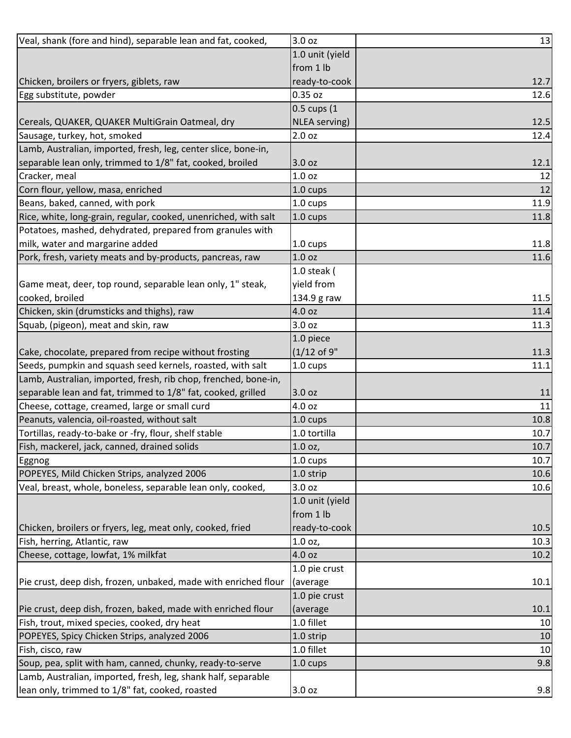| Veal, shank (fore and hind), separable lean and fat, cooked,    | 3.0 oz            | 13   |
|-----------------------------------------------------------------|-------------------|------|
|                                                                 | 1.0 unit (yield   |      |
|                                                                 | from 1 lb         |      |
| Chicken, broilers or fryers, giblets, raw                       | ready-to-cook     | 12.7 |
| Egg substitute, powder                                          | 0.35 oz           | 12.6 |
|                                                                 | 0.5 cups (1       |      |
| Cereals, QUAKER, QUAKER MultiGrain Oatmeal, dry                 | NLEA serving)     | 12.5 |
| Sausage, turkey, hot, smoked                                    | 2.0 oz            | 12.4 |
| Lamb, Australian, imported, fresh, leg, center slice, bone-in,  |                   |      |
| separable lean only, trimmed to 1/8" fat, cooked, broiled       | 3.0 oz            | 12.1 |
| Cracker, meal                                                   | 1.0 oz            | 12   |
| Corn flour, yellow, masa, enriched                              | 1.0 cups          | 12   |
| Beans, baked, canned, with pork                                 | 1.0 cups          | 11.9 |
| Rice, white, long-grain, regular, cooked, unenriched, with salt | 1.0 cups          | 11.8 |
| Potatoes, mashed, dehydrated, prepared from granules with       |                   |      |
| milk, water and margarine added                                 | 1.0 cups          | 11.8 |
| Pork, fresh, variety meats and by-products, pancreas, raw       | 1.0 <sub>oz</sub> | 11.6 |
|                                                                 | 1.0 steak (       |      |
| Game meat, deer, top round, separable lean only, 1" steak,      | yield from        |      |
| cooked, broiled                                                 | 134.9 g raw       | 11.5 |
| Chicken, skin (drumsticks and thighs), raw                      | 4.0 oz            | 11.4 |
| Squab, (pigeon), meat and skin, raw                             | 3.0 oz            | 11.3 |
|                                                                 | 1.0 piece         |      |
| Cake, chocolate, prepared from recipe without frosting          | $(1/12$ of 9"     | 11.3 |
| Seeds, pumpkin and squash seed kernels, roasted, with salt      | 1.0 cups          | 11.1 |
| Lamb, Australian, imported, fresh, rib chop, frenched, bone-in, |                   |      |
| separable lean and fat, trimmed to 1/8" fat, cooked, grilled    | 3.0 oz            | 11   |
| Cheese, cottage, creamed, large or small curd                   | 4.0 oz            | 11   |
| Peanuts, valencia, oil-roasted, without salt                    | 1.0 cups          | 10.8 |
| Tortillas, ready-to-bake or -fry, flour, shelf stable           | 1.0 tortilla      | 10.7 |
| Fish, mackerel, jack, canned, drained solids                    | $1.0$ oz,         | 10.7 |
| Eggnog                                                          | 1.0 cups          | 10.7 |
| POPEYES, Mild Chicken Strips, analyzed 2006                     | 1.0 strip         | 10.6 |
| Veal, breast, whole, boneless, separable lean only, cooked,     | 3.0 oz            | 10.6 |
|                                                                 | 1.0 unit (yield   |      |
|                                                                 | from 1 lb         |      |
| Chicken, broilers or fryers, leg, meat only, cooked, fried      | ready-to-cook     | 10.5 |
| Fish, herring, Atlantic, raw                                    | 1.0 oz,           | 10.3 |
| Cheese, cottage, lowfat, 1% milkfat                             | 4.0 oz            | 10.2 |
|                                                                 | 1.0 pie crust     |      |
| Pie crust, deep dish, frozen, unbaked, made with enriched flour | (average          | 10.1 |
|                                                                 | 1.0 pie crust     |      |
| Pie crust, deep dish, frozen, baked, made with enriched flour   | (average          | 10.1 |
| Fish, trout, mixed species, cooked, dry heat                    | 1.0 fillet        | 10   |
| POPEYES, Spicy Chicken Strips, analyzed 2006                    | 1.0 strip         | 10   |
| Fish, cisco, raw                                                | 1.0 fillet        | 10   |
| Soup, pea, split with ham, canned, chunky, ready-to-serve       | 1.0 cups          | 9.8  |
| Lamb, Australian, imported, fresh, leg, shank half, separable   |                   |      |
| lean only, trimmed to 1/8" fat, cooked, roasted                 | 3.0 oz            | 9.8  |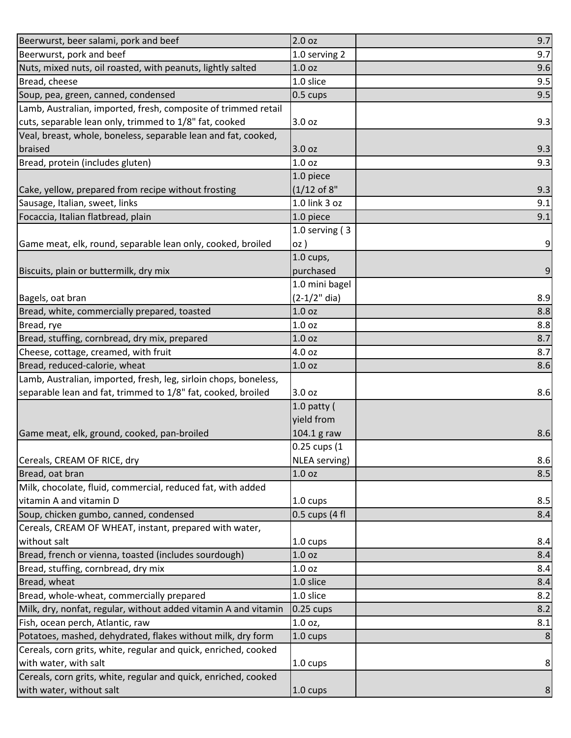| Beerwurst, beer salami, pork and beef                            | 2.0 oz            | 9.7 |
|------------------------------------------------------------------|-------------------|-----|
| Beerwurst, pork and beef                                         | 1.0 serving 2     | 9.7 |
| Nuts, mixed nuts, oil roasted, with peanuts, lightly salted      | 1.0 <sub>oz</sub> | 9.6 |
| Bread, cheese                                                    | 1.0 slice         | 9.5 |
| Soup, pea, green, canned, condensed                              | 0.5 cups          | 9.5 |
| Lamb, Australian, imported, fresh, composite of trimmed retail   |                   |     |
| cuts, separable lean only, trimmed to 1/8" fat, cooked           | 3.0 oz            | 9.3 |
| Veal, breast, whole, boneless, separable lean and fat, cooked,   |                   |     |
| braised                                                          | 3.0 oz            | 9.3 |
| Bread, protein (includes gluten)                                 | 1.0 <sub>oz</sub> | 9.3 |
|                                                                  | 1.0 piece         |     |
| Cake, yellow, prepared from recipe without frosting              | $(1/12$ of 8"     | 9.3 |
| Sausage, Italian, sweet, links                                   | 1.0 link 3 oz     | 9.1 |
| Focaccia, Italian flatbread, plain                               | 1.0 piece         | 9.1 |
|                                                                  | 1.0 serving $(3)$ |     |
| Game meat, elk, round, separable lean only, cooked, broiled      | oz)               | 9   |
|                                                                  | $1.0$ cups,       |     |
| Biscuits, plain or buttermilk, dry mix                           | purchased         | 9   |
|                                                                  | 1.0 mini bagel    |     |
| Bagels, oat bran                                                 | $(2-1/2"$ dia)    | 8.9 |
| Bread, white, commercially prepared, toasted                     | 1.0 <sub>oz</sub> | 8.8 |
| Bread, rye                                                       | 1.0 oz            | 8.8 |
| Bread, stuffing, cornbread, dry mix, prepared                    | 1.0 oz            | 8.7 |
| Cheese, cottage, creamed, with fruit                             | 4.0 oz            | 8.7 |
| Bread, reduced-calorie, wheat                                    | 1.0 oz            | 8.6 |
| Lamb, Australian, imported, fresh, leg, sirloin chops, boneless, |                   |     |
| separable lean and fat, trimmed to 1/8" fat, cooked, broiled     | 3.0 oz            | 8.6 |
|                                                                  | $1.0$ patty (     |     |
|                                                                  | yield from        |     |
| Game meat, elk, ground, cooked, pan-broiled                      | 104.1 g raw       | 8.6 |
|                                                                  | 0.25 cups (1      |     |
| Cereals, CREAM OF RICE, dry                                      | NLEA serving)     | 8.6 |
| Bread, oat bran                                                  | 1.0 <sub>oz</sub> | 8.5 |
| Milk, chocolate, fluid, commercial, reduced fat, with added      |                   |     |
| vitamin A and vitamin D                                          | 1.0 cups          | 8.5 |
| Soup, chicken gumbo, canned, condensed                           | 0.5 cups (4 fl    | 8.4 |
| Cereals, CREAM OF WHEAT, instant, prepared with water,           |                   |     |
| without salt                                                     | 1.0 cups          | 8.4 |
| Bread, french or vienna, toasted (includes sourdough)            | 1.0 <sub>oz</sub> | 8.4 |
| Bread, stuffing, cornbread, dry mix                              | 1.0 oz            | 8.4 |
| Bread, wheat                                                     | 1.0 slice         | 8.4 |
| Bread, whole-wheat, commercially prepared                        | 1.0 slice         | 8.2 |
| Milk, dry, nonfat, regular, without added vitamin A and vitamin  | $0.25$ cups       | 8.2 |
| Fish, ocean perch, Atlantic, raw                                 | 1.0 oz,           | 8.1 |
| Potatoes, mashed, dehydrated, flakes without milk, dry form      | 1.0 cups          |     |
| Cereals, corn grits, white, regular and quick, enriched, cooked  |                   |     |
| with water, with salt                                            | 1.0 cups          | 8   |
| Cereals, corn grits, white, regular and quick, enriched, cooked  |                   |     |
| with water, without salt                                         | 1.0 cups          | 8   |
|                                                                  |                   |     |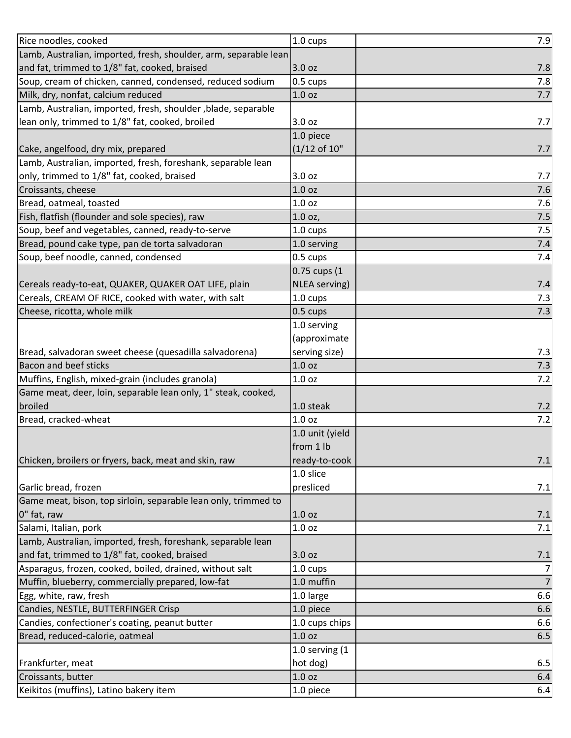| Rice noodles, cooked                                             | 1.0 cups          | 7.9            |
|------------------------------------------------------------------|-------------------|----------------|
| Lamb, Australian, imported, fresh, shoulder, arm, separable lean |                   |                |
| and fat, trimmed to 1/8" fat, cooked, braised                    | 3.0 oz            | 7.8            |
| Soup, cream of chicken, canned, condensed, reduced sodium        | 0.5 cups          | 7.8            |
| Milk, dry, nonfat, calcium reduced                               | 1.0 oz            | 7.7            |
| Lamb, Australian, imported, fresh, shoulder, blade, separable    |                   |                |
| lean only, trimmed to 1/8" fat, cooked, broiled                  | 3.0 oz            | 7.7            |
|                                                                  | 1.0 piece         |                |
| Cake, angelfood, dry mix, prepared                               | $(1/12$ of 10"    | 7.7            |
| Lamb, Australian, imported, fresh, foreshank, separable lean     |                   |                |
| only, trimmed to 1/8" fat, cooked, braised                       | 3.0 oz            | 7.7            |
| Croissants, cheese                                               | 1.0 <sub>oz</sub> | 7.6            |
| Bread, oatmeal, toasted                                          | 1.0 oz            | 7.6            |
| Fish, flatfish (flounder and sole species), raw                  | 1.0 oz,           | 7.5            |
| Soup, beef and vegetables, canned, ready-to-serve                | 1.0 cups          | 7.5            |
| Bread, pound cake type, pan de torta salvadoran                  | 1.0 serving       | 7.4            |
| Soup, beef noodle, canned, condensed                             | 0.5 cups          | 7.4            |
|                                                                  | 0.75 cups (1      |                |
| Cereals ready-to-eat, QUAKER, QUAKER OAT LIFE, plain             | NLEA serving)     | 7.4            |
| Cereals, CREAM OF RICE, cooked with water, with salt             | 1.0 cups          | 7.3            |
| Cheese, ricotta, whole milk                                      | 0.5 cups          | 7.3            |
|                                                                  | 1.0 serving       |                |
|                                                                  | (approximate      |                |
| Bread, salvadoran sweet cheese (quesadilla salvadorena)          | serving size)     | 7.3            |
| <b>Bacon and beef sticks</b>                                     | 1.0 oz            | 7.3            |
| Muffins, English, mixed-grain (includes granola)                 | 1.0 oz            | 7.2            |
| Game meat, deer, loin, separable lean only, 1" steak, cooked,    |                   |                |
| broiled                                                          | 1.0 steak         | 7.2            |
| Bread, cracked-wheat                                             | 1.0 oz            | 7.2            |
|                                                                  | 1.0 unit (yield   |                |
|                                                                  | from 1 lb         |                |
| Chicken, broilers or fryers, back, meat and skin, raw            | ready-to-cook     | $7.1$          |
|                                                                  | 1.0 slice         |                |
| Garlic bread, frozen                                             | presliced         | 7.1            |
| Game meat, bison, top sirloin, separable lean only, trimmed to   |                   |                |
| 0" fat, raw                                                      | 1.0 <sub>oz</sub> | 7.1            |
| Salami, Italian, pork                                            | 1.0 <sub>oz</sub> | 7.1            |
| Lamb, Australian, imported, fresh, foreshank, separable lean     |                   |                |
| and fat, trimmed to 1/8" fat, cooked, braised                    | 3.0 oz            | 7.1            |
| Asparagus, frozen, cooked, boiled, drained, without salt         | 1.0 cups          | $\overline{7}$ |
| Muffin, blueberry, commercially prepared, low-fat                | 1.0 muffin        | $\overline{7}$ |
| Egg, white, raw, fresh                                           | 1.0 large         | 6.6            |
| Candies, NESTLE, BUTTERFINGER Crisp                              | 1.0 piece         | 6.6            |
| Candies, confectioner's coating, peanut butter                   | 1.0 cups chips    | 6.6            |
| Bread, reduced-calorie, oatmeal                                  | 1.0 <sub>oz</sub> | 6.5            |
|                                                                  | 1.0 serving $(1)$ |                |
| Frankfurter, meat                                                | hot dog)          | 6.5            |
| Croissants, butter                                               | 1.0 oz            | 6.4            |
| Keikitos (muffins), Latino bakery item                           | 1.0 piece         | 6.4            |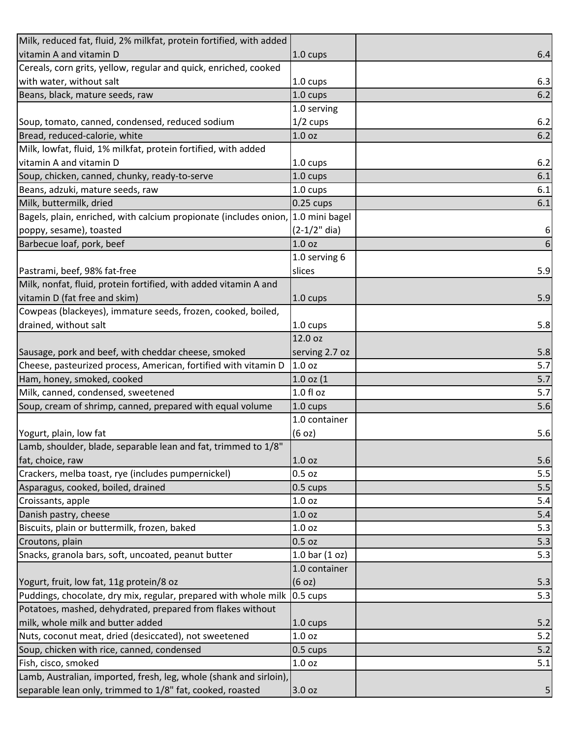| Milk, reduced fat, fluid, 2% milkfat, protein fortified, with added              |                          |     |
|----------------------------------------------------------------------------------|--------------------------|-----|
| vitamin A and vitamin D                                                          | 1.0 cups                 | 6.4 |
| Cereals, corn grits, yellow, regular and quick, enriched, cooked                 |                          |     |
| with water, without salt                                                         | 1.0 cups                 | 6.3 |
| Beans, black, mature seeds, raw                                                  | 1.0 cups                 | 6.2 |
|                                                                                  | 1.0 serving              |     |
| Soup, tomato, canned, condensed, reduced sodium                                  | $1/2$ cups               | 6.2 |
| Bread, reduced-calorie, white                                                    | 1.0 <sub>oz</sub>        | 6.2 |
| Milk, lowfat, fluid, 1% milkfat, protein fortified, with added                   |                          |     |
| vitamin A and vitamin D                                                          | 1.0 cups                 | 6.2 |
| Soup, chicken, canned, chunky, ready-to-serve                                    | 1.0 cups                 | 6.1 |
| Beans, adzuki, mature seeds, raw                                                 | 1.0 cups                 | 6.1 |
| Milk, buttermilk, dried                                                          | $0.25$ cups              | 6.1 |
| Bagels, plain, enriched, with calcium propionate (includes onion, 1.0 mini bagel |                          |     |
| poppy, sesame), toasted                                                          | $(2-1/2"$ dia)           | 6   |
| Barbecue loaf, pork, beef                                                        | 1.0 <sub>oz</sub>        | 6   |
|                                                                                  | 1.0 serving 6            |     |
| Pastrami, beef, 98% fat-free                                                     | slices                   | 5.9 |
| Milk, nonfat, fluid, protein fortified, with added vitamin A and                 |                          |     |
| vitamin D (fat free and skim)                                                    | 1.0 cups                 | 5.9 |
| Cowpeas (blackeyes), immature seeds, frozen, cooked, boiled,                     |                          |     |
| drained, without salt                                                            | 1.0 cups                 | 5.8 |
|                                                                                  | 12.0 oz                  |     |
| Sausage, pork and beef, with cheddar cheese, smoked                              | serving 2.7 oz           | 5.8 |
| Cheese, pasteurized process, American, fortified with vitamin D                  | 1.0 oz                   | 5.7 |
| Ham, honey, smoked, cooked                                                       | $1.0$ oz $(1)$           | 5.7 |
| Milk, canned, condensed, sweetened                                               | $1.0 f$ l oz             | 5.7 |
| Soup, cream of shrimp, canned, prepared with equal volume                        | 1.0 cups                 | 5.6 |
|                                                                                  | 1.0 container            |     |
| Yogurt, plain, low fat                                                           | (6 oz)                   | 5.6 |
| Lamb, shoulder, blade, separable lean and fat, trimmed to 1/8"                   |                          |     |
| fat, choice, raw                                                                 | 1.0 oz                   | 5.6 |
| Crackers, melba toast, rye (includes pumpernickel)                               | 0.5 oz                   | 5.5 |
| Asparagus, cooked, boiled, drained                                               | $0.5 \text{ cups}$       | 5.5 |
| Croissants, apple                                                                | 1.0 oz                   | 5.4 |
| Danish pastry, cheese                                                            | 1.0 oz                   | 5.4 |
| Biscuits, plain or buttermilk, frozen, baked                                     | 1.0 oz                   | 5.3 |
| Croutons, plain                                                                  | 0.5 oz                   | 5.3 |
| Snacks, granola bars, soft, uncoated, peanut butter                              | 1.0 bar $(1 \text{ oz})$ | 5.3 |
|                                                                                  | 1.0 container            |     |
| Yogurt, fruit, low fat, 11g protein/8 oz                                         | (6 oz)                   | 5.3 |
| Puddings, chocolate, dry mix, regular, prepared with whole milk                  | $0.5 \text{ cups}$       | 5.3 |
| Potatoes, mashed, dehydrated, prepared from flakes without                       |                          |     |
| milk, whole milk and butter added                                                | 1.0 cups                 | 5.2 |
| Nuts, coconut meat, dried (desiccated), not sweetened                            | 1.0 oz                   | 5.2 |
| Soup, chicken with rice, canned, condensed                                       | $0.5 \text{ cups}$       | 5.2 |
| Fish, cisco, smoked                                                              | 1.0 oz                   | 5.1 |
| Lamb, Australian, imported, fresh, leg, whole (shank and sirloin),               |                          |     |
| separable lean only, trimmed to 1/8" fat, cooked, roasted                        | 3.0 oz                   | 5   |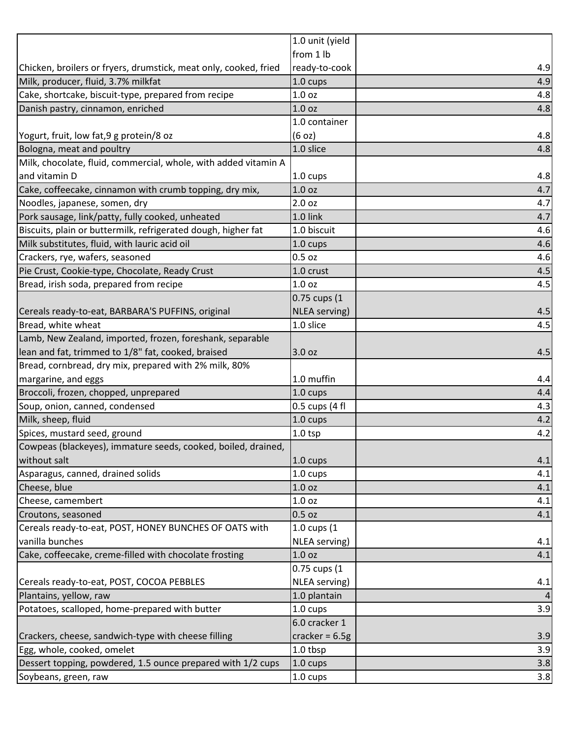| 1.0 unit (yield   |                                                                                                                                                                                                                                        |
|-------------------|----------------------------------------------------------------------------------------------------------------------------------------------------------------------------------------------------------------------------------------|
|                   |                                                                                                                                                                                                                                        |
|                   | 4.9                                                                                                                                                                                                                                    |
| 1.0 cups          | 4.9                                                                                                                                                                                                                                    |
| 1.0 <sub>oz</sub> | 4.8                                                                                                                                                                                                                                    |
| 1.0 <sub>oz</sub> | 4.8                                                                                                                                                                                                                                    |
| 1.0 container     |                                                                                                                                                                                                                                        |
| (6 oz)            | 4.8                                                                                                                                                                                                                                    |
|                   | 4.8                                                                                                                                                                                                                                    |
|                   |                                                                                                                                                                                                                                        |
| 1.0 cups          | 4.8                                                                                                                                                                                                                                    |
|                   | 4.7                                                                                                                                                                                                                                    |
| 2.0 oz            | 4.7                                                                                                                                                                                                                                    |
| 1.0 link          | 4.7                                                                                                                                                                                                                                    |
| 1.0 biscuit       | 4.6                                                                                                                                                                                                                                    |
| 1.0 cups          | 4.6                                                                                                                                                                                                                                    |
| $0.5$ oz          | 4.6                                                                                                                                                                                                                                    |
| 1.0 crust         | 4.5                                                                                                                                                                                                                                    |
| 1.0 <sub>oz</sub> | 4.5                                                                                                                                                                                                                                    |
|                   |                                                                                                                                                                                                                                        |
|                   | 4.5                                                                                                                                                                                                                                    |
| 1.0 slice         | 4.5                                                                                                                                                                                                                                    |
|                   |                                                                                                                                                                                                                                        |
|                   | 4.5                                                                                                                                                                                                                                    |
|                   |                                                                                                                                                                                                                                        |
| 1.0 muffin        | 4.4                                                                                                                                                                                                                                    |
| 1.0 cups          | 4.4                                                                                                                                                                                                                                    |
| 0.5 cups (4 fl    | 4.3                                                                                                                                                                                                                                    |
| 1.0 cups          | 4.2                                                                                                                                                                                                                                    |
| $1.0$ tsp         | 4.2                                                                                                                                                                                                                                    |
|                   |                                                                                                                                                                                                                                        |
|                   | 4.1                                                                                                                                                                                                                                    |
| 1.0 cups          | 4.1                                                                                                                                                                                                                                    |
|                   | 4.1                                                                                                                                                                                                                                    |
|                   | 4.1                                                                                                                                                                                                                                    |
|                   | 4.1                                                                                                                                                                                                                                    |
| 1.0 cups (1       |                                                                                                                                                                                                                                        |
|                   | 4.1                                                                                                                                                                                                                                    |
|                   | 4.1                                                                                                                                                                                                                                    |
| 0.75 cups (1      |                                                                                                                                                                                                                                        |
|                   | 4.1                                                                                                                                                                                                                                    |
|                   |                                                                                                                                                                                                                                        |
|                   | 3.9                                                                                                                                                                                                                                    |
| 6.0 cracker 1     |                                                                                                                                                                                                                                        |
| cracker = $6.5g$  | 3.9                                                                                                                                                                                                                                    |
| 1.0 tbsp          | 3.9                                                                                                                                                                                                                                    |
| 1.0 cups          | 3.8                                                                                                                                                                                                                                    |
| 1.0 cups          | 3.8                                                                                                                                                                                                                                    |
|                   | from 1 lb<br>ready-to-cook<br>1.0 slice<br>1.0 oz<br>0.75 cups (1<br><b>NLEA</b> serving)<br>3.0 oz<br>$1.0 \text{ cups}$<br>1.0 oz<br>1.0 oz<br>0.5 oz<br><b>NLEA</b> serving)<br>1.0 oz<br>NLEA serving)<br>1.0 plantain<br>1.0 cups |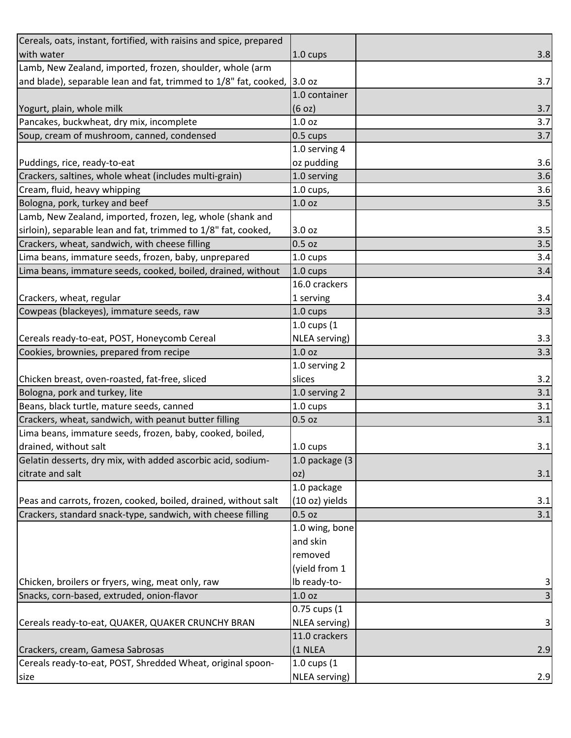| Cereals, oats, instant, fortified, with raisins and spice, prepared     |                   |     |
|-------------------------------------------------------------------------|-------------------|-----|
| with water                                                              | 1.0 cups          | 3.8 |
| Lamb, New Zealand, imported, frozen, shoulder, whole (arm               |                   |     |
| and blade), separable lean and fat, trimmed to 1/8" fat, cooked, 3.0 oz |                   | 3.7 |
|                                                                         | 1.0 container     |     |
| Yogurt, plain, whole milk                                               | (6 oz)            | 3.7 |
| Pancakes, buckwheat, dry mix, incomplete                                | 1.0 oz            | 3.7 |
| Soup, cream of mushroom, canned, condensed                              | 0.5 cups          | 3.7 |
|                                                                         | 1.0 serving 4     |     |
| Puddings, rice, ready-to-eat                                            | oz pudding        | 3.6 |
| Crackers, saltines, whole wheat (includes multi-grain)                  | 1.0 serving       | 3.6 |
| Cream, fluid, heavy whipping                                            | $1.0$ cups,       | 3.6 |
| Bologna, pork, turkey and beef                                          | 1.0 <sub>oz</sub> | 3.5 |
| Lamb, New Zealand, imported, frozen, leg, whole (shank and              |                   |     |
| sirloin), separable lean and fat, trimmed to 1/8" fat, cooked,          | 3.0 oz            | 3.5 |
| Crackers, wheat, sandwich, with cheese filling                          | $0.5$ oz          | 3.5 |
| Lima beans, immature seeds, frozen, baby, unprepared                    | 1.0 cups          | 3.4 |
| Lima beans, immature seeds, cooked, boiled, drained, without            | 1.0 cups          | 3.4 |
|                                                                         | 16.0 crackers     |     |
| Crackers, wheat, regular                                                | 1 serving         | 3.4 |
| Cowpeas (blackeyes), immature seeds, raw                                | 1.0 cups          | 3.3 |
|                                                                         | $1.0$ cups $(1)$  |     |
| Cereals ready-to-eat, POST, Honeycomb Cereal                            | NLEA serving)     | 3.3 |
| Cookies, brownies, prepared from recipe                                 | 1.0 <sub>oz</sub> | 3.3 |
|                                                                         | 1.0 serving 2     |     |
| Chicken breast, oven-roasted, fat-free, sliced                          | slices            | 3.2 |
| Bologna, pork and turkey, lite                                          | 1.0 serving 2     | 3.1 |
| Beans, black turtle, mature seeds, canned                               | 1.0 cups          | 3.1 |
| Crackers, wheat, sandwich, with peanut butter filling                   | $0.5$ oz          | 3.1 |
| Lima beans, immature seeds, frozen, baby, cooked, boiled,               |                   |     |
| drained, without salt                                                   | 1.0 cups          | 3.1 |
| Gelatin desserts, dry mix, with added ascorbic acid, sodium-            | 1.0 package (3    |     |
| citrate and salt                                                        | oz)               | 3.1 |
|                                                                         | 1.0 package       |     |
| Peas and carrots, frozen, cooked, boiled, drained, without salt         | (10 oz) yields    | 3.1 |
| Crackers, standard snack-type, sandwich, with cheese filling            | $0.5$ oz          | 3.1 |
|                                                                         | 1.0 wing, bone    |     |
|                                                                         | and skin          |     |
|                                                                         | removed           |     |
|                                                                         | (yield from 1     |     |
| Chicken, broilers or fryers, wing, meat only, raw                       | Ib ready-to-      | 3   |
| Snacks, corn-based, extruded, onion-flavor                              | 1.0 oz            | 3   |
|                                                                         | 0.75 cups (1      |     |
| Cereals ready-to-eat, QUAKER, QUAKER CRUNCHY BRAN                       | NLEA serving)     | 3   |
|                                                                         | 11.0 crackers     |     |
| Crackers, cream, Gamesa Sabrosas                                        | (1 NLEA           | 2.9 |
| Cereals ready-to-eat, POST, Shredded Wheat, original spoon-             | 1.0 cups (1       |     |
| size                                                                    | NLEA serving)     | 2.9 |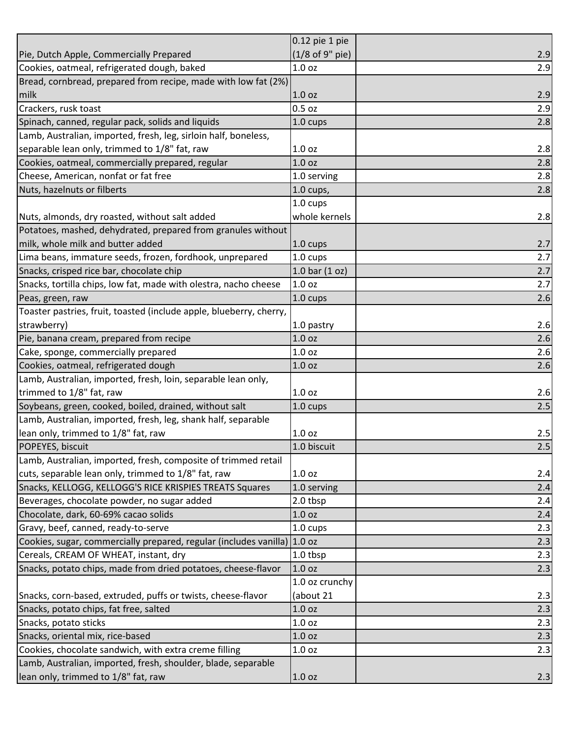|                                                                          | $0.12$ pie 1 pie  |     |
|--------------------------------------------------------------------------|-------------------|-----|
| Pie, Dutch Apple, Commercially Prepared                                  | (1/8 of 9" pie)   | 2.9 |
| Cookies, oatmeal, refrigerated dough, baked                              | 1.0 oz            | 2.9 |
| Bread, cornbread, prepared from recipe, made with low fat (2%)           |                   |     |
| milk                                                                     | 1.0 oz            | 2.9 |
| Crackers, rusk toast                                                     | 0.5 oz            | 2.9 |
| Spinach, canned, regular pack, solids and liquids                        | 1.0 cups          | 2.8 |
| Lamb, Australian, imported, fresh, leg, sirloin half, boneless,          |                   |     |
| separable lean only, trimmed to 1/8" fat, raw                            | 1.0 oz            | 2.8 |
| Cookies, oatmeal, commercially prepared, regular                         | 1.0 <sub>oz</sub> | 2.8 |
| Cheese, American, nonfat or fat free                                     | 1.0 serving       | 2.8 |
| Nuts, hazelnuts or filberts                                              | $1.0$ cups,       | 2.8 |
|                                                                          | 1.0 cups          |     |
| Nuts, almonds, dry roasted, without salt added                           | whole kernels     | 2.8 |
| Potatoes, mashed, dehydrated, prepared from granules without             |                   |     |
| milk, whole milk and butter added                                        | 1.0 cups          | 2.7 |
| Lima beans, immature seeds, frozen, fordhook, unprepared                 | 1.0 cups          | 2.7 |
| Snacks, crisped rice bar, chocolate chip                                 | 1.0 bar $(1 oz)$  | 2.7 |
| Snacks, tortilla chips, low fat, made with olestra, nacho cheese         | 1.0 oz            | 2.7 |
| Peas, green, raw                                                         | 1.0 cups          | 2.6 |
| Toaster pastries, fruit, toasted (include apple, blueberry, cherry,      |                   |     |
| strawberry)                                                              | 1.0 pastry        | 2.6 |
| Pie, banana cream, prepared from recipe                                  | 1.0 <sub>oz</sub> | 2.6 |
| Cake, sponge, commercially prepared                                      | 1.0 oz            | 2.6 |
| Cookies, oatmeal, refrigerated dough                                     | 1.0 oz            | 2.6 |
| Lamb, Australian, imported, fresh, loin, separable lean only,            |                   |     |
| trimmed to 1/8" fat, raw                                                 | 1.0 oz            | 2.6 |
| Soybeans, green, cooked, boiled, drained, without salt                   | 1.0 cups          | 2.5 |
| Lamb, Australian, imported, fresh, leg, shank half, separable            |                   |     |
| lean only, trimmed to 1/8" fat, raw                                      | 1.0 oz            | 2.5 |
| POPEYES, biscuit                                                         | 1.0 biscuit       | 2.5 |
| Lamb, Australian, imported, fresh, composite of trimmed retail           |                   |     |
| cuts, separable lean only, trimmed to 1/8" fat, raw                      | 1.0 <sub>oz</sub> | 2.4 |
| Snacks, KELLOGG, KELLOGG'S RICE KRISPIES TREATS Squares                  | 1.0 serving       | 2.4 |
| Beverages, chocolate powder, no sugar added                              | 2.0 tbsp          | 2.4 |
| Chocolate, dark, 60-69% cacao solids                                     | 1.0 oz            | 2.4 |
| Gravy, beef, canned, ready-to-serve                                      | 1.0 cups          | 2.3 |
| Cookies, sugar, commercially prepared, regular (includes vanilla) 1.0 oz |                   | 2.3 |
| Cereals, CREAM OF WHEAT, instant, dry                                    | 1.0 tbsp          | 2.3 |
| Snacks, potato chips, made from dried potatoes, cheese-flavor            | 1.0 <sub>oz</sub> | 2.3 |
|                                                                          | 1.0 oz crunchy    |     |
| Snacks, corn-based, extruded, puffs or twists, cheese-flavor             | (about 21         | 2.3 |
| Snacks, potato chips, fat free, salted                                   | 1.0 <sub>oz</sub> | 2.3 |
| Snacks, potato sticks                                                    | 1.0 oz            | 2.3 |
| Snacks, oriental mix, rice-based                                         | 1.0 oz            | 2.3 |
| Cookies, chocolate sandwich, with extra creme filling                    | 1.0 oz            | 2.3 |
| Lamb, Australian, imported, fresh, shoulder, blade, separable            |                   |     |
| lean only, trimmed to 1/8" fat, raw                                      | 1.0 oz            | 2.3 |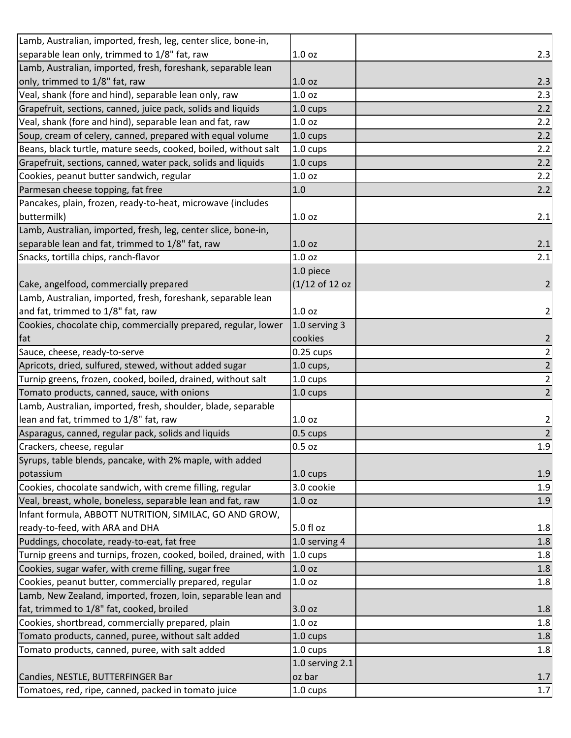| Lamb, Australian, imported, fresh, leg, center slice, bone-in,   |                    |                |
|------------------------------------------------------------------|--------------------|----------------|
| separable lean only, trimmed to 1/8" fat, raw                    | 1.0 oz             | 2.3            |
| Lamb, Australian, imported, fresh, foreshank, separable lean     |                    |                |
| only, trimmed to 1/8" fat, raw                                   | 1.0 <sub>oz</sub>  | 2.3            |
| Veal, shank (fore and hind), separable lean only, raw            | 1.0 <sub>oz</sub>  | 2.3            |
| Grapefruit, sections, canned, juice pack, solids and liquids     | 1.0 cups           | 2.2            |
| Veal, shank (fore and hind), separable lean and fat, raw         | 1.0 oz             | 2.2            |
| Soup, cream of celery, canned, prepared with equal volume        | 1.0 cups           | 2.2            |
| Beans, black turtle, mature seeds, cooked, boiled, without salt  | 1.0 cups           | 2.2            |
| Grapefruit, sections, canned, water pack, solids and liquids     | 1.0 cups           | 2.2            |
| Cookies, peanut butter sandwich, regular                         | 1.0 oz             | 2.2            |
| Parmesan cheese topping, fat free                                | 1.0                | 2.2            |
| Pancakes, plain, frozen, ready-to-heat, microwave (includes      |                    |                |
| buttermilk)                                                      | 1.0 <sub>oz</sub>  | 2.1            |
| Lamb, Australian, imported, fresh, leg, center slice, bone-in,   |                    |                |
| separable lean and fat, trimmed to 1/8" fat, raw                 | 1.0 <sub>oz</sub>  | 2.1            |
| Snacks, tortilla chips, ranch-flavor                             | 1.0 <sub>oz</sub>  | 2.1            |
|                                                                  | 1.0 piece          |                |
| Cake, angelfood, commercially prepared                           | (1/12 of 12 oz     | $\overline{2}$ |
| Lamb, Australian, imported, fresh, foreshank, separable lean     |                    |                |
| and fat, trimmed to 1/8" fat, raw                                | 1.0 <sub>oz</sub>  | $\mathbf{2}$   |
| Cookies, chocolate chip, commercially prepared, regular, lower   | 1.0 serving 3      |                |
| fat                                                              | cookies            | $\overline{2}$ |
| Sauce, cheese, ready-to-serve                                    | $0.25$ cups        |                |
| Apricots, dried, sulfured, stewed, without added sugar           | $1.0$ cups,        | $\frac{2}{2}$  |
| Turnip greens, frozen, cooked, boiled, drained, without salt     | 1.0 cups           | $\overline{2}$ |
| Tomato products, canned, sauce, with onions                      | 1.0 cups           | $\overline{2}$ |
| Lamb, Australian, imported, fresh, shoulder, blade, separable    |                    |                |
| lean and fat, trimmed to 1/8" fat, raw                           | 1.0 <sub>oz</sub>  | $\overline{a}$ |
| Asparagus, canned, regular pack, solids and liquids              | 0.5 cups           | $\overline{2}$ |
| Crackers, cheese, regular                                        | 0.5 oz             | 1.9            |
| Syrups, table blends, pancake, with 2% maple, with added         |                    |                |
| potassium                                                        | 1.0 cups           | 1.9            |
| Cookies, chocolate sandwich, with creme filling, regular         | 3.0 cookie         | 1.9            |
| Veal, breast, whole, boneless, separable lean and fat, raw       | 1.0 <sub>oz</sub>  | 1.9            |
| Infant formula, ABBOTT NUTRITION, SIMILAC, GO AND GROW,          |                    |                |
| ready-to-feed, with ARA and DHA                                  | 5.0 fl oz          | 1.8            |
| Puddings, chocolate, ready-to-eat, fat free                      | 1.0 serving 4      | 1.8            |
| Turnip greens and turnips, frozen, cooked, boiled, drained, with | 1.0 cups           | 1.8            |
| Cookies, sugar wafer, with creme filling, sugar free             | 1.0 <sub>oz</sub>  | 1.8            |
| Cookies, peanut butter, commercially prepared, regular           | 1.0 <sub>oz</sub>  | 1.8            |
| Lamb, New Zealand, imported, frozen, loin, separable lean and    |                    |                |
| fat, trimmed to 1/8" fat, cooked, broiled                        | 3.0 oz             | 1.8            |
| Cookies, shortbread, commercially prepared, plain                | 1.0 oz             | 1.8            |
| Tomato products, canned, puree, without salt added               | 1.0 cups           | 1.8            |
| Tomato products, canned, puree, with salt added                  | $1.0 \text{ cups}$ | 1.8            |
|                                                                  | 1.0 serving 2.1    |                |
| Candies, NESTLE, BUTTERFINGER Bar                                | oz bar             | 1.7            |
| Tomatoes, red, ripe, canned, packed in tomato juice              | 1.0 cups           | 1.7            |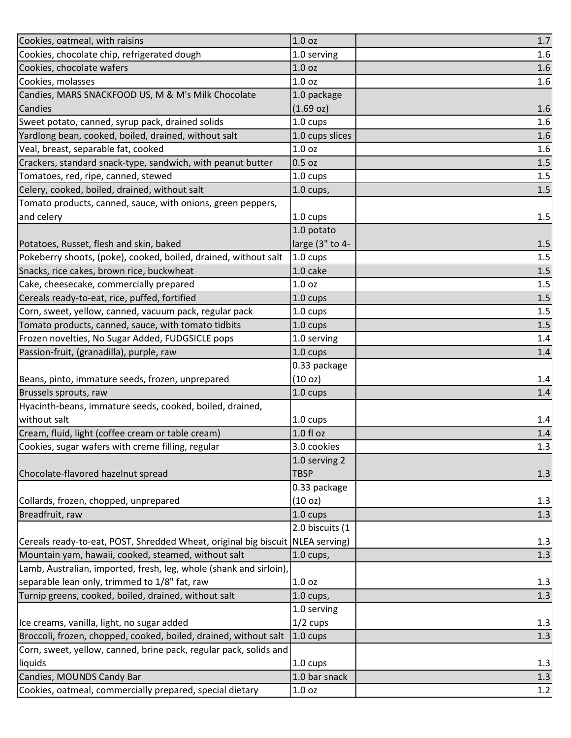| Cookies, oatmeal, with raisins                                                 | 1.0 oz              | $1.7\,$ |
|--------------------------------------------------------------------------------|---------------------|---------|
| Cookies, chocolate chip, refrigerated dough                                    | 1.0 serving         | 1.6     |
| Cookies, chocolate wafers                                                      | 1.0 <sub>oz</sub>   | 1.6     |
| Cookies, molasses                                                              | 1.0 <sub>oz</sub>   | 1.6     |
| Candies, MARS SNACKFOOD US, M & M's Milk Chocolate                             | 1.0 package         |         |
| Candies                                                                        | (1.69 oz)           | 1.6     |
| Sweet potato, canned, syrup pack, drained solids                               | 1.0 cups            | 1.6     |
| Yardlong bean, cooked, boiled, drained, without salt                           | 1.0 cups slices     | 1.6     |
| Veal, breast, separable fat, cooked                                            | 1.0 <sub>oz</sub>   | 1.6     |
| Crackers, standard snack-type, sandwich, with peanut butter                    | $0.5$ oz            | 1.5     |
| Tomatoes, red, ripe, canned, stewed                                            | 1.0 cups            | 1.5     |
| Celery, cooked, boiled, drained, without salt                                  | $1.0$ cups,         | 1.5     |
| Tomato products, canned, sauce, with onions, green peppers,                    |                     |         |
| and celery                                                                     | 1.0 cups            | 1.5     |
|                                                                                | 1.0 potato          |         |
| Potatoes, Russet, flesh and skin, baked                                        | large (3" to 4-     | 1.5     |
| Pokeberry shoots, (poke), cooked, boiled, drained, without salt                | 1.0 cups            | $1.5\,$ |
| Snacks, rice cakes, brown rice, buckwheat                                      | 1.0 cake            | $1.5\,$ |
| Cake, cheesecake, commercially prepared                                        | 1.0 <sub>oz</sub>   | 1.5     |
| Cereals ready-to-eat, rice, puffed, fortified                                  | 1.0 cups            | 1.5     |
| Corn, sweet, yellow, canned, vacuum pack, regular pack                         | 1.0 cups            | $1.5\,$ |
| Tomato products, canned, sauce, with tomato tidbits                            | 1.0 cups            | 1.5     |
| Frozen novelties, No Sugar Added, FUDGSICLE pops                               | 1.0 serving         | 1.4     |
| Passion-fruit, (granadilla), purple, raw                                       | 1.0 cups            | 1.4     |
|                                                                                | 0.33 package        |         |
| Beans, pinto, immature seeds, frozen, unprepared                               | (10 <sub>oz</sub> ) | 1.4     |
| Brussels sprouts, raw                                                          | 1.0 cups            | 1.4     |
| Hyacinth-beans, immature seeds, cooked, boiled, drained,                       |                     |         |
| without salt                                                                   | 1.0 cups            | 1.4     |
| Cream, fluid, light (coffee cream or table cream)                              | $1.0 f$ l oz        | 1.4     |
| Cookies, sugar wafers with creme filling, regular                              | 3.0 cookies         | 1.3     |
|                                                                                | 1.0 serving 2       |         |
| Chocolate-flavored hazelnut spread                                             | <b>TBSP</b>         | 1.3     |
|                                                                                | 0.33 package        |         |
| Collards, frozen, chopped, unprepared                                          | (10 oz)             | 1.3     |
| Breadfruit, raw                                                                | 1.0 cups            | 1.3     |
|                                                                                | 2.0 biscuits (1     |         |
| Cereals ready-to-eat, POST, Shredded Wheat, original big biscuit NLEA serving) |                     | 1.3     |
| Mountain yam, hawaii, cooked, steamed, without salt                            | $1.0$ cups,         | 1.3     |
| Lamb, Australian, imported, fresh, leg, whole (shank and sirloin),             |                     |         |
| separable lean only, trimmed to 1/8" fat, raw                                  | 1.0 <sub>oz</sub>   | 1.3     |
| Turnip greens, cooked, boiled, drained, without salt                           | $1.0$ cups,         | 1.3     |
|                                                                                | 1.0 serving         |         |
| Ice creams, vanilla, light, no sugar added                                     | $1/2$ cups          | 1.3     |
| Broccoli, frozen, chopped, cooked, boiled, drained, without salt               | 1.0 cups            | 1.3     |
| Corn, sweet, yellow, canned, brine pack, regular pack, solids and              |                     |         |
| liquids                                                                        | 1.0 cups            | 1.3     |
| Candies, MOUNDS Candy Bar                                                      | 1.0 bar snack       | 1.3     |
| Cookies, oatmeal, commercially prepared, special dietary                       | 1.0 oz              | 1.2     |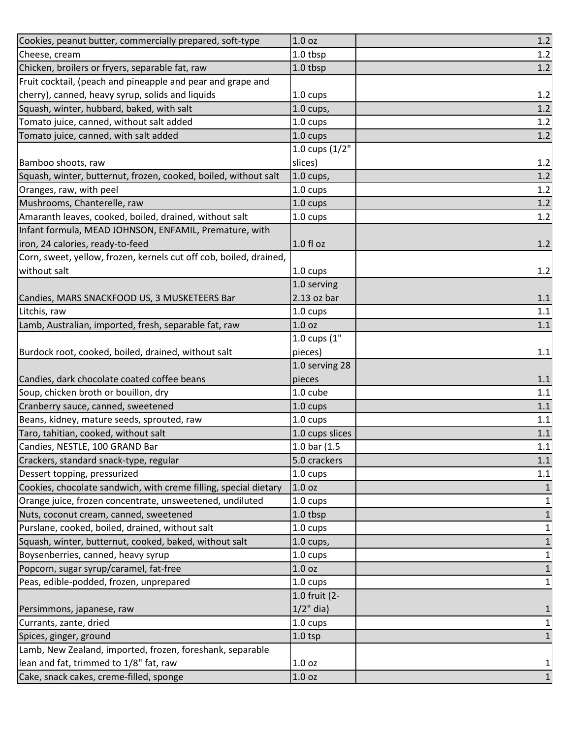| Cookies, peanut butter, commercially prepared, soft-type                                                                | 1.0 <sub>oz</sub>  | $1.2$        |
|-------------------------------------------------------------------------------------------------------------------------|--------------------|--------------|
| Cheese, cream                                                                                                           | 1.0 tbsp           | 1.2          |
| Chicken, broilers or fryers, separable fat, raw                                                                         | 1.0 tbsp           | 1.2          |
| Fruit cocktail, (peach and pineapple and pear and grape and                                                             |                    |              |
| cherry), canned, heavy syrup, solids and liquids                                                                        | 1.0 cups           | 1.2          |
| Squash, winter, hubbard, baked, with salt                                                                               | $1.0$ cups,        | 1.2          |
| Tomato juice, canned, without salt added                                                                                | 1.0 cups           | 1.2          |
| Tomato juice, canned, with salt added                                                                                   | 1.0 cups           | 1.2          |
|                                                                                                                         | 1.0 cups (1/2"     |              |
| Bamboo shoots, raw                                                                                                      | slices)            | 1.2          |
| Squash, winter, butternut, frozen, cooked, boiled, without salt                                                         | $1.0$ cups,        | 1.2          |
| Oranges, raw, with peel                                                                                                 | 1.0 cups           | 1.2          |
| Mushrooms, Chanterelle, raw                                                                                             | 1.0 cups           | 1.2          |
| Amaranth leaves, cooked, boiled, drained, without salt                                                                  | 1.0 cups           | 1.2          |
| Infant formula, MEAD JOHNSON, ENFAMIL, Premature, with                                                                  |                    |              |
| iron, 24 calories, ready-to-feed                                                                                        | $1.0 f$ l oz       | 1.2          |
| Corn, sweet, yellow, frozen, kernels cut off cob, boiled, drained,                                                      |                    |              |
| without salt                                                                                                            | 1.0 cups           | 1.2          |
|                                                                                                                         | 1.0 serving        |              |
| Candies, MARS SNACKFOOD US, 3 MUSKETEERS Bar                                                                            | $2.13$ oz bar      | 1.1          |
| Litchis, raw                                                                                                            | 1.0 cups           | 1.1          |
| Lamb, Australian, imported, fresh, separable fat, raw                                                                   | 1.0 <sub>oz</sub>  | $1.1$        |
|                                                                                                                         | 1.0 $cups$ (1"     |              |
| Burdock root, cooked, boiled, drained, without salt                                                                     | pieces)            | 1.1          |
|                                                                                                                         |                    |              |
|                                                                                                                         | 1.0 serving 28     |              |
| Candies, dark chocolate coated coffee beans                                                                             | pieces             | 1.1          |
| Soup, chicken broth or bouillon, dry                                                                                    | 1.0 cube           | 1.1          |
| Cranberry sauce, canned, sweetened                                                                                      | 1.0 cups           | 1.1          |
| Beans, kidney, mature seeds, sprouted, raw                                                                              | 1.0 cups           | 1.1          |
| Taro, tahitian, cooked, without salt                                                                                    | 1.0 cups slices    | $1.1$        |
| Candies, NESTLE, 100 GRAND Bar                                                                                          | $1.0$ bar $(1.5)$  | 1.1          |
| Crackers, standard snack-type, regular                                                                                  | 5.0 crackers       | 1.1          |
| Dessert topping, pressurized                                                                                            | 1.0 cups           | 1.1          |
| Cookies, chocolate sandwich, with creme filling, special dietary                                                        | 1.0 <sub>oz</sub>  | $\mathbf{1}$ |
| Orange juice, frozen concentrate, unsweetened, undiluted                                                                | 1.0 cups           | $\mathbf 1$  |
| Nuts, coconut cream, canned, sweetened                                                                                  | 1.0 tbsp           | $\mathbf 1$  |
| Purslane, cooked, boiled, drained, without salt                                                                         | 1.0 cups           | $\mathbf{1}$ |
| Squash, winter, butternut, cooked, baked, without salt                                                                  | $1.0$ cups,        | $\mathbf 1$  |
| Boysenberries, canned, heavy syrup                                                                                      | $1.0 \text{ cups}$ | $\mathbf{1}$ |
|                                                                                                                         | 1.0 <sub>oz</sub>  | $\mathbf 1$  |
| Peas, edible-podded, frozen, unprepared                                                                                 | 1.0 cups           | $\mathbf{1}$ |
|                                                                                                                         | 1.0 fruit (2-      |              |
|                                                                                                                         | $1/2$ " dia)       | $\mathbf 1$  |
|                                                                                                                         | $1.0 \text{ cups}$ | $\mathbf{1}$ |
| Popcorn, sugar syrup/caramel, fat-free<br>Persimmons, japanese, raw<br>Currants, zante, dried<br>Spices, ginger, ground | $1.0$ tsp          | $\mathbf 1$  |
|                                                                                                                         |                    |              |
| Lamb, New Zealand, imported, frozen, foreshank, separable<br>lean and fat, trimmed to 1/8" fat, raw                     | 1.0 oz             | $\mathbf 1$  |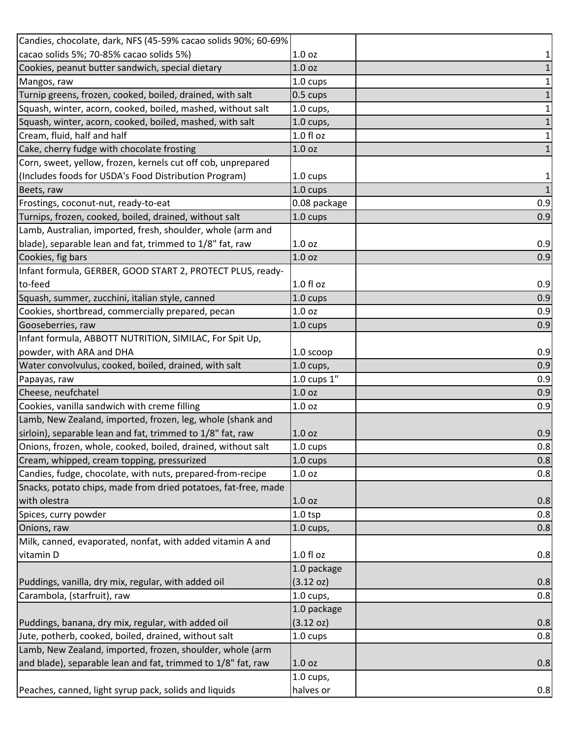| Candies, chocolate, dark, NFS (45-59% cacao solids 90%; 60-69% |                                  |                |
|----------------------------------------------------------------|----------------------------------|----------------|
| cacao solids 5%; 70-85% cacao solids 5%)                       | 1.0 oz                           | $\mathbf{1}$   |
| Cookies, peanut butter sandwich, special dietary               | 1.0 <sub>oz</sub>                | $\mathbf 1$    |
| Mangos, raw                                                    | 1.0 cups                         | $1\vert$       |
| Turnip greens, frozen, cooked, boiled, drained, with salt      | $0.5 \text{ cups}$               | $\mathbf 1$    |
| Squash, winter, acorn, cooked, boiled, mashed, without salt    | $1.0$ cups,                      | $1\vert$       |
| Squash, winter, acorn, cooked, boiled, mashed, with salt       | $1.0$ cups,                      | $1\vert$       |
| Cream, fluid, half and half                                    | $1.0 f$ l oz                     | $\mathbf{1}$   |
| Cake, cherry fudge with chocolate frosting                     | 1.0 <sub>oz</sub>                | $1\vert$       |
| Corn, sweet, yellow, frozen, kernels cut off cob, unprepared   |                                  |                |
| (Includes foods for USDA's Food Distribution Program)          | 1.0 cups                         | $\mathbf{1}$   |
| Beets, raw                                                     | 1.0 cups                         | $\overline{1}$ |
| Frostings, coconut-nut, ready-to-eat                           | 0.08 package                     | 0.9            |
| Turnips, frozen, cooked, boiled, drained, without salt         | 1.0 cups                         | 0.9            |
| Lamb, Australian, imported, fresh, shoulder, whole (arm and    |                                  |                |
| blade), separable lean and fat, trimmed to 1/8" fat, raw       | 1.0 <sub>oz</sub>                | 0.9            |
| Cookies, fig bars                                              | 1.0 oz                           | 0.9            |
| Infant formula, GERBER, GOOD START 2, PROTECT PLUS, ready-     |                                  |                |
| to-feed                                                        | $1.0 f$ l oz                     | 0.9            |
| Squash, summer, zucchini, italian style, canned                | 1.0 cups                         | 0.9            |
| Cookies, shortbread, commercially prepared, pecan              | 1.0 <sub>oz</sub>                | 0.9            |
| Gooseberries, raw                                              | 1.0 cups                         | 0.9            |
| Infant formula, ABBOTT NUTRITION, SIMILAC, For Spit Up,        |                                  |                |
| powder, with ARA and DHA                                       | $1.05$ coop                      | 0.9            |
| Water convolvulus, cooked, boiled, drained, with salt          | $1.0$ cups,                      | 0.9            |
| Papayas, raw                                                   | 1.0 cups 1"                      | 0.9            |
| Cheese, neufchatel                                             | 1.0 <sub>oz</sub>                | 0.9            |
| Cookies, vanilla sandwich with creme filling                   | 1.0 <sub>oz</sub>                | 0.9            |
| Lamb, New Zealand, imported, frozen, leg, whole (shank and     |                                  |                |
| sirloin), separable lean and fat, trimmed to 1/8" fat, raw     | 1.0 <sub>oz</sub>                | 0.9            |
| Onions, frozen, whole, cooked, boiled, drained, without salt   | 1.0 cups                         | 0.8            |
| Cream, whipped, cream topping, pressurized                     | 1.0 cups                         | 0.8            |
| Candies, fudge, chocolate, with nuts, prepared-from-recipe     | 1.0 oz                           | 0.8            |
| Snacks, potato chips, made from dried potatoes, fat-free, made |                                  |                |
|                                                                | 1.0 <sub>oz</sub>                | 0.8            |
| with olestra                                                   |                                  | 0.8            |
| Spices, curry powder                                           | 1.0 <sub>tp</sub><br>$1.0$ cups, | 0.8            |
| Onions, raw                                                    |                                  |                |
| Milk, canned, evaporated, nonfat, with added vitamin A and     |                                  |                |
| vitamin D                                                      | 1.0 fl oz                        | 0.8            |
|                                                                | 1.0 package                      |                |
| Puddings, vanilla, dry mix, regular, with added oil            | $(3.12 \text{ oz})$              | 0.8            |
| Carambola, (starfruit), raw                                    | $1.0$ cups,                      | 0.8            |
|                                                                | 1.0 package                      |                |
| Puddings, banana, dry mix, regular, with added oil             | (3.12 oz)                        | 0.8            |
| Jute, potherb, cooked, boiled, drained, without salt           | 1.0 cups                         | 0.8            |
| Lamb, New Zealand, imported, frozen, shoulder, whole (arm      |                                  |                |
| and blade), separable lean and fat, trimmed to 1/8" fat, raw   | 1.0 <sub>oz</sub>                | 0.8            |
|                                                                | $1.0$ cups,                      |                |
| Peaches, canned, light syrup pack, solids and liquids          | halves or                        | 0.8            |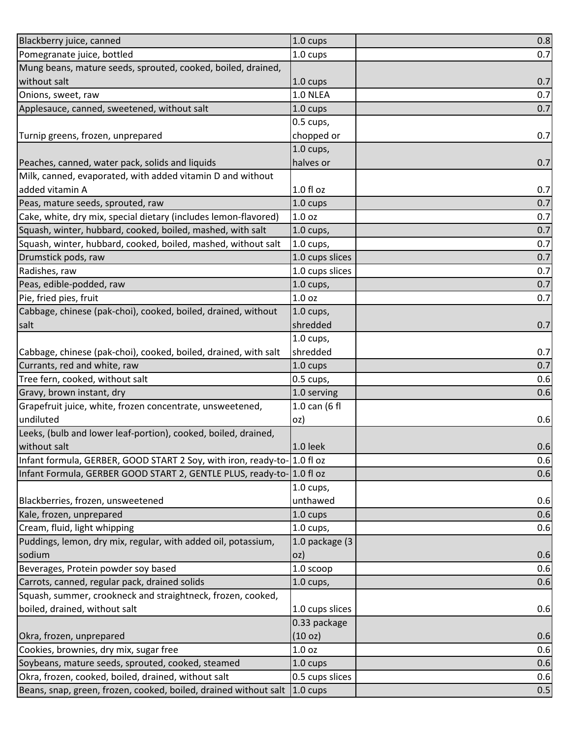| Blackberry juice, canned                                                | $1.0 \text{ cups}$ | 0.8 |
|-------------------------------------------------------------------------|--------------------|-----|
| Pomegranate juice, bottled                                              | 1.0 cups           | 0.7 |
| Mung beans, mature seeds, sprouted, cooked, boiled, drained,            |                    |     |
| without salt                                                            | 1.0 cups           | 0.7 |
| Onions, sweet, raw                                                      | 1.0 NLEA           | 0.7 |
| Applesauce, canned, sweetened, without salt                             | 1.0 cups           | 0.7 |
|                                                                         | 0.5 cups,          |     |
| Turnip greens, frozen, unprepared                                       | chopped or         | 0.7 |
|                                                                         | $1.0$ cups,        |     |
| Peaches, canned, water pack, solids and liquids                         | halves or          | 0.7 |
| Milk, canned, evaporated, with added vitamin D and without              |                    |     |
| added vitamin A                                                         | $1.0 f$ l oz       | 0.7 |
| Peas, mature seeds, sprouted, raw                                       | 1.0 cups           | 0.7 |
| Cake, white, dry mix, special dietary (includes lemon-flavored)         | 1.0 <sub>oz</sub>  | 0.7 |
| Squash, winter, hubbard, cooked, boiled, mashed, with salt              | 1.0 cups,          | 0.7 |
| Squash, winter, hubbard, cooked, boiled, mashed, without salt           | $1.0$ cups,        | 0.7 |
| Drumstick pods, raw                                                     | 1.0 cups slices    | 0.7 |
| Radishes, raw                                                           | 1.0 cups slices    | 0.7 |
| Peas, edible-podded, raw                                                | $1.0$ cups,        | 0.7 |
| Pie, fried pies, fruit                                                  | 1.0 <sub>oz</sub>  | 0.7 |
| Cabbage, chinese (pak-choi), cooked, boiled, drained, without           | $1.0$ cups,        |     |
| salt                                                                    | shredded           | 0.7 |
|                                                                         | $1.0$ cups,        |     |
| Cabbage, chinese (pak-choi), cooked, boiled, drained, with salt         | shredded           | 0.7 |
| Currants, red and white, raw                                            | 1.0 cups           | 0.7 |
| Tree fern, cooked, without salt                                         | 0.5 cups,          | 0.6 |
| Gravy, brown instant, dry                                               | 1.0 serving        | 0.6 |
| Grapefruit juice, white, frozen concentrate, unsweetened,               | 1.0 can (6 fl      |     |
| undiluted                                                               | oz)                | 0.6 |
| Leeks, (bulb and lower leaf-portion), cooked, boiled, drained,          |                    |     |
| without salt                                                            | $1.0$ leek         | 0.6 |
| Infant formula, GERBER, GOOD START 2 Soy, with iron, ready-to-1.0 fl oz |                    | 0.6 |
| Infant Formula, GERBER GOOD START 2, GENTLE PLUS, ready-to- 1.0 fl oz   |                    | 0.6 |
|                                                                         | $1.0$ cups,        |     |
| Blackberries, frozen, unsweetened                                       | unthawed           | 0.6 |
| Kale, frozen, unprepared                                                | 1.0 cups           | 0.6 |
| Cream, fluid, light whipping                                            | $1.0$ cups,        | 0.6 |
| Puddings, lemon, dry mix, regular, with added oil, potassium,           | 1.0 package (3     |     |
| sodium                                                                  | oz)                | 0.6 |
| Beverages, Protein powder soy based                                     | 1.0 scoop          | 0.6 |
| Carrots, canned, regular pack, drained solids                           | $1.0$ cups,        | 0.6 |
| Squash, summer, crookneck and straightneck, frozen, cooked,             |                    |     |
| boiled, drained, without salt                                           | 1.0 cups slices    | 0.6 |
|                                                                         | 0.33 package       |     |
| Okra, frozen, unprepared                                                | (10 oz)            | 0.6 |
| Cookies, brownies, dry mix, sugar free                                  | 1.0 <sub>oz</sub>  | 0.6 |
| Soybeans, mature seeds, sprouted, cooked, steamed                       | 1.0 cups           | 0.6 |
| Okra, frozen, cooked, boiled, drained, without salt                     | 0.5 cups slices    | 0.6 |
| Beans, snap, green, frozen, cooked, boiled, drained without salt        | $1.0 \text{ cups}$ | 0.5 |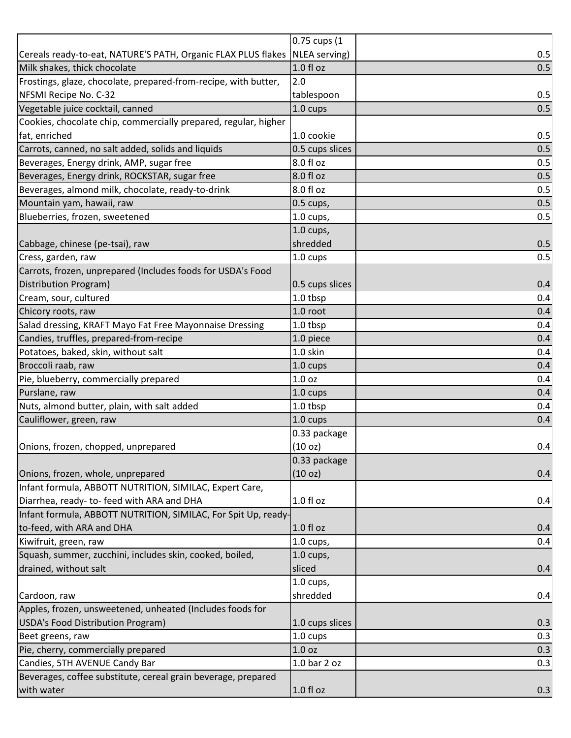|                                                                             | 0.75 cups (1    |     |
|-----------------------------------------------------------------------------|-----------------|-----|
| Cereals ready-to-eat, NATURE'S PATH, Organic FLAX PLUS flakes NLEA serving) |                 | 0.5 |
| Milk shakes, thick chocolate                                                | 1.0 fl oz       | 0.5 |
| Frostings, glaze, chocolate, prepared-from-recipe, with butter,             | 2.0             |     |
| NFSMI Recipe No. C-32                                                       | tablespoon      | 0.5 |
| Vegetable juice cocktail, canned                                            | 1.0 cups        | 0.5 |
| Cookies, chocolate chip, commercially prepared, regular, higher             |                 |     |
| fat, enriched                                                               | 1.0 cookie      | 0.5 |
| Carrots, canned, no salt added, solids and liquids                          | 0.5 cups slices | 0.5 |
| Beverages, Energy drink, AMP, sugar free                                    | 8.0 fl oz       | 0.5 |
| Beverages, Energy drink, ROCKSTAR, sugar free                               | 8.0 fl oz       | 0.5 |
| Beverages, almond milk, chocolate, ready-to-drink                           | 8.0 fl oz       | 0.5 |
| Mountain yam, hawaii, raw                                                   | $0.5$ cups,     | 0.5 |
| Blueberries, frozen, sweetened                                              | 1.0 cups,       | 0.5 |
|                                                                             | $1.0$ cups,     |     |
| Cabbage, chinese (pe-tsai), raw                                             | shredded        | 0.5 |
| Cress, garden, raw                                                          | 1.0 cups        | 0.5 |
| Carrots, frozen, unprepared (Includes foods for USDA's Food                 |                 |     |
| Distribution Program)                                                       | 0.5 cups slices | 0.4 |
| Cream, sour, cultured                                                       | 1.0 tbsp        | 0.4 |
| Chicory roots, raw                                                          | 1.0 root        | 0.4 |
| Salad dressing, KRAFT Mayo Fat Free Mayonnaise Dressing                     | 1.0 tbsp        | 0.4 |
| Candies, truffles, prepared-from-recipe                                     | 1.0 piece       | 0.4 |
| Potatoes, baked, skin, without salt                                         | 1.0 skin        | 0.4 |
| Broccoli raab, raw                                                          | 1.0 cups        | 0.4 |
| Pie, blueberry, commercially prepared                                       | 1.0 oz          | 0.4 |
| Purslane, raw                                                               | 1.0 cups        | 0.4 |
| Nuts, almond butter, plain, with salt added                                 | 1.0 tbsp        | 0.4 |
| Cauliflower, green, raw                                                     | 1.0 cups        | 0.4 |
|                                                                             | 0.33 package    |     |
| Onions, frozen, chopped, unprepared                                         | (10 oz)         | 0.4 |
|                                                                             | 0.33 package    |     |
| Onions, frozen, whole, unprepared                                           | (10 oz)         | 0.4 |
| Infant formula, ABBOTT NUTRITION, SIMILAC, Expert Care,                     |                 |     |
| Diarrhea, ready- to- feed with ARA and DHA                                  | $1.0 f$ l oz    | 0.4 |
| Infant formula, ABBOTT NUTRITION, SIMILAC, For Spit Up, ready-              |                 |     |
| to-feed, with ARA and DHA                                                   | $1.0 f$ l oz    | 0.4 |
| Kiwifruit, green, raw                                                       | $1.0$ cups,     | 0.4 |
| Squash, summer, zucchini, includes skin, cooked, boiled,                    | $1.0$ cups,     |     |
| drained, without salt                                                       | sliced          | 0.4 |
|                                                                             | $1.0$ cups,     |     |
| Cardoon, raw                                                                | shredded        | 0.4 |
| Apples, frozen, unsweetened, unheated (Includes foods for                   |                 |     |
| USDA's Food Distribution Program)                                           | 1.0 cups slices | 0.3 |
| Beet greens, raw                                                            | 1.0 cups        | 0.3 |
| Pie, cherry, commercially prepared                                          | 1.0 oz          | 0.3 |
| Candies, 5TH AVENUE Candy Bar                                               | 1.0 bar 2 oz    | 0.3 |
| Beverages, coffee substitute, cereal grain beverage, prepared               |                 |     |
| with water                                                                  | $1.0 f$ l oz    | 0.3 |
|                                                                             |                 |     |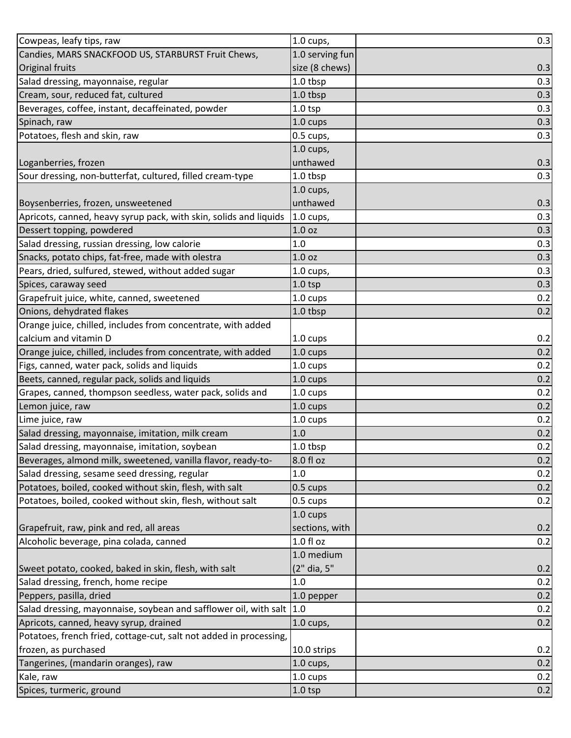| Cowpeas, leafy tips, raw                                             | $1.0$ cups,        | 0.3 |
|----------------------------------------------------------------------|--------------------|-----|
| Candies, MARS SNACKFOOD US, STARBURST Fruit Chews,                   | 1.0 serving fun    |     |
| <b>Original fruits</b>                                               | size (8 chews)     | 0.3 |
| Salad dressing, mayonnaise, regular                                  | 1.0 tbsp           | 0.3 |
| Cream, sour, reduced fat, cultured                                   | 1.0 tbsp           | 0.3 |
| Beverages, coffee, instant, decaffeinated, powder                    | $1.0$ tsp          | 0.3 |
| Spinach, raw                                                         | 1.0 cups           | 0.3 |
| Potatoes, flesh and skin, raw                                        | 0.5 cups,          | 0.3 |
|                                                                      | $1.0$ cups,        |     |
| Loganberries, frozen                                                 | unthawed           | 0.3 |
| Sour dressing, non-butterfat, cultured, filled cream-type            | 1.0 tbsp           | 0.3 |
|                                                                      | $1.0$ cups,        |     |
| Boysenberries, frozen, unsweetened                                   | unthawed           | 0.3 |
| Apricots, canned, heavy syrup pack, with skin, solids and liquids    | $1.0$ cups,        | 0.3 |
| Dessert topping, powdered                                            | 1.0 <sub>oz</sub>  | 0.3 |
| Salad dressing, russian dressing, low calorie                        | 1.0                | 0.3 |
| Snacks, potato chips, fat-free, made with olestra                    | 1.0 <sub>oz</sub>  | 0.3 |
| Pears, dried, sulfured, stewed, without added sugar                  | $1.0$ cups,        | 0.3 |
| Spices, caraway seed                                                 | $1.0$ tsp          | 0.3 |
| Grapefruit juice, white, canned, sweetened                           | 1.0 cups           | 0.2 |
| Onions, dehydrated flakes                                            | 1.0 tbsp           | 0.2 |
| Orange juice, chilled, includes from concentrate, with added         |                    |     |
| calcium and vitamin D                                                | 1.0 cups           | 0.2 |
| Orange juice, chilled, includes from concentrate, with added         | 1.0 cups           | 0.2 |
| Figs, canned, water pack, solids and liquids                         | 1.0 cups           | 0.2 |
| Beets, canned, regular pack, solids and liquids                      | 1.0 cups           | 0.2 |
| Grapes, canned, thompson seedless, water pack, solids and            | 1.0 cups           | 0.2 |
| Lemon juice, raw                                                     | 1.0 cups           | 0.2 |
| Lime juice, raw                                                      | 1.0 cups           | 0.2 |
| Salad dressing, mayonnaise, imitation, milk cream                    | 1.0                | 0.2 |
| Salad dressing, mayonnaise, imitation, soybean                       | 1.0 tbsp           | 0.2 |
| Beverages, almond milk, sweetened, vanilla flavor, ready-to-         | 8.0 fl oz          | 0.2 |
| Salad dressing, sesame seed dressing, regular                        | 1.0                | 0.2 |
| Potatoes, boiled, cooked without skin, flesh, with salt              | $0.5 \text{ cups}$ | 0.2 |
| Potatoes, boiled, cooked without skin, flesh, without salt           | 0.5 cups           | 0.2 |
|                                                                      | 1.0 cups           |     |
| Grapefruit, raw, pink and red, all areas                             | sections, with     | 0.2 |
| Alcoholic beverage, pina colada, canned                              | $1.0 f$ l oz       | 0.2 |
|                                                                      | 1.0 medium         |     |
| Sweet potato, cooked, baked in skin, flesh, with salt                | (2" dia, 5"        | 0.2 |
| Salad dressing, french, home recipe                                  | 1.0                | 0.2 |
| Peppers, pasilla, dried                                              | 1.0 pepper         | 0.2 |
| Salad dressing, mayonnaise, soybean and safflower oil, with salt 1.0 |                    | 0.2 |
| Apricots, canned, heavy syrup, drained                               | $1.0$ cups,        | 0.2 |
| Potatoes, french fried, cottage-cut, salt not added in processing,   |                    |     |
| frozen, as purchased                                                 | 10.0 strips        | 0.2 |
| Tangerines, (mandarin oranges), raw                                  | $1.0$ cups,        | 0.2 |
| Kale, raw                                                            | 1.0 cups           | 0.2 |
| Spices, turmeric, ground                                             | $1.0$ tsp          | 0.2 |